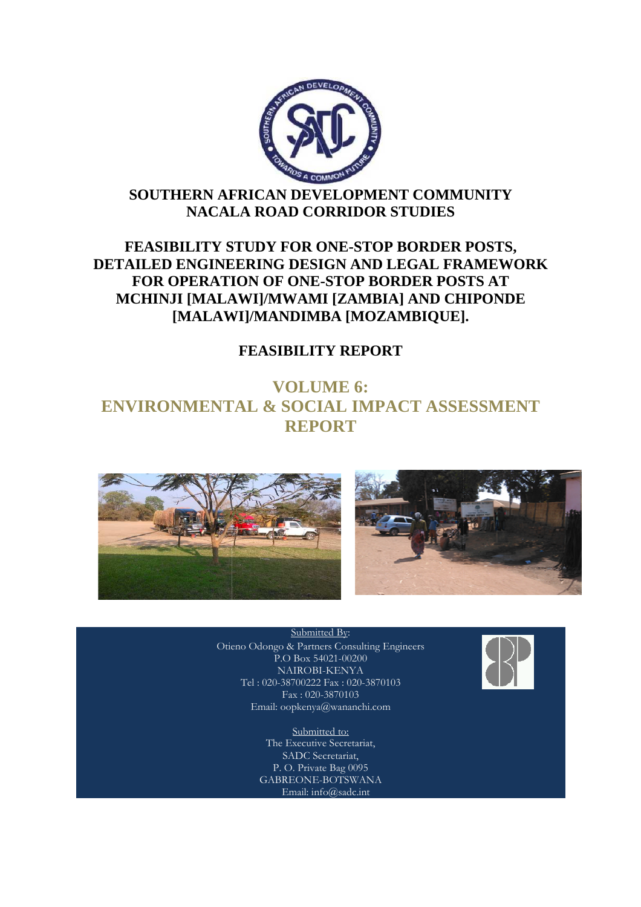

# **SOUTHERN AFRICAN DEVELOPMENT COMMUNITY NACALA ROAD CORRIDOR STUDIES**

# **FEASIBILITY STUDY FOR ONE ONE-STOP BORDER POSTS, DETAILED ENGINEERING DESIGN AND LEGAL FRAMEWORK FOR OPERATION OF ONE ONE-STOP BORDER POSTS AT MCHINJI [MALAWI]/MWAMI [ZAMBIA CHINJI [ZAMBIA] AND CHIPONDE ENGINEERING DESIGN AND LEGAL FRA<br>
DPERATION OF ONE-STOP BORDER POST<br>
JI [MALAWI]/MWAMI [ZAMBIA] AND CHI<br>
[MALAWI]/MANDIMBA [MOZAMBIQUE].**

# **FEASIBILITY REPORT**

# **ENVIRONMENTAL & SOCIAL IMPACT ASSESSMENT VOLUME 6: REPORT**





#### Submitted By:

Otieno Odongo & Partners Consulting Engineers P.O Box 54021-00200 NAIROBI-KENYA Tel : 020-38700222 Fax : 020-3870103 Fax : 020-3870103 Email: oopkenya@wananchi.com

> Submitted to: The Executive Secretariat, SADC Secretariat, P. O. Private Bag 0095 GABREONE-BOTSWANA Email: info@sadc.int

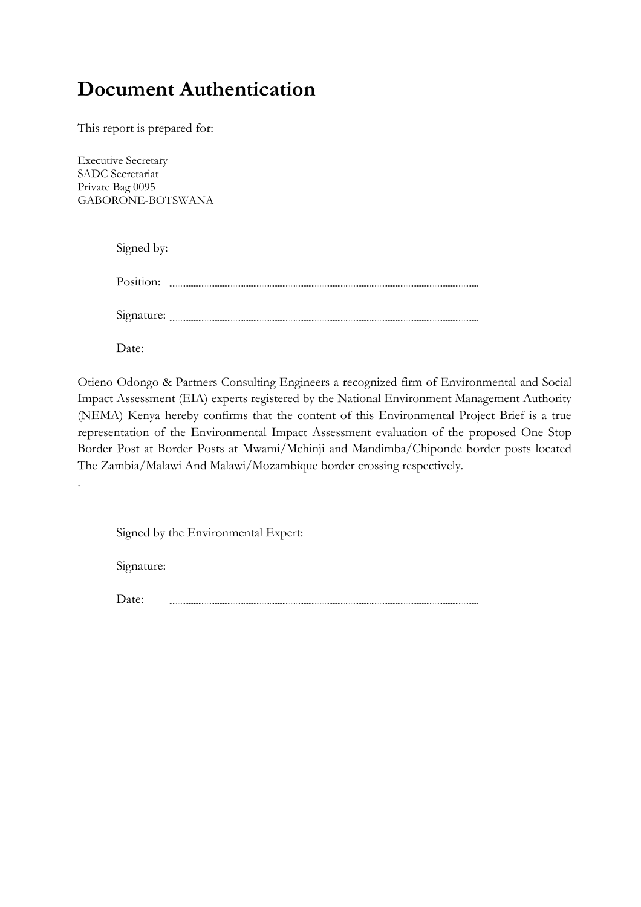# **Document Authentication**

This report is prepared for:

Executive Secretary SADC Secretariat Private Bag 0095 GABORONE-BOTSWANA

.

|            | Signed by: |
|------------|------------|
| Position:  |            |
| Signature: |            |
|            |            |

Otieno Odongo & Partners Consulting Engineers a recognized firm of Environmental and Social Impact Assessment (EIA) experts registered by the National Environment Management Authority (NEMA) Kenya hereby confirms that the content of this Environmental Project Brief is a true representation of the Environmental Impact Assessment evaluation of the proposed One Stop Border Post at Border Posts at Mwami/Mchinji and Mandimba/Chiponde border posts located The Zambia/Malawi And Malawi/Mozambique border crossing respectively.

|  |  |  |  | Signed by the Environmental Expert: |  |
|--|--|--|--|-------------------------------------|--|
|--|--|--|--|-------------------------------------|--|

Signature: www.communications.com/signature/

Date: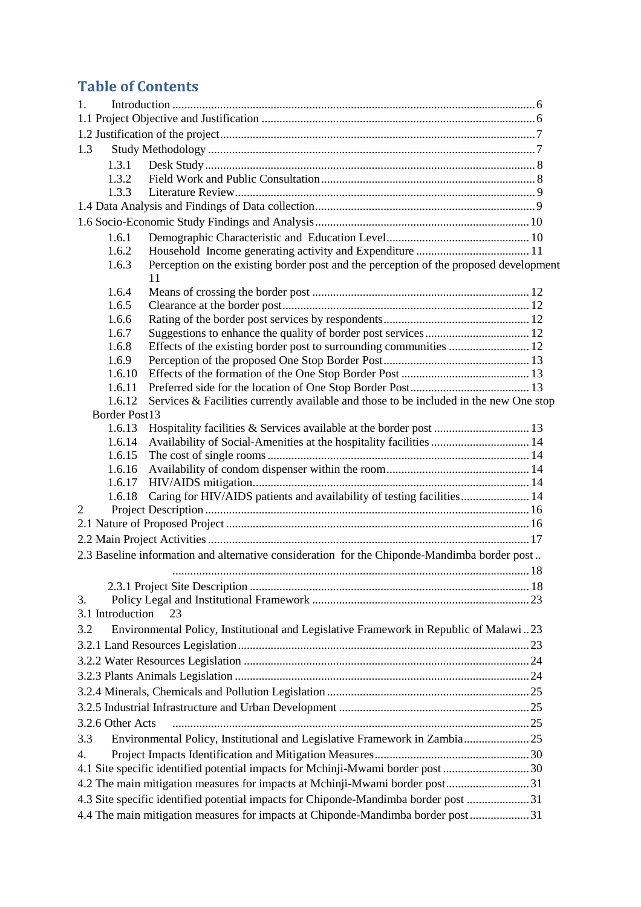# **Table of Contents**

| $1_{\cdot}$                                                                       |                                                                                              |  |  |  |  |
|-----------------------------------------------------------------------------------|----------------------------------------------------------------------------------------------|--|--|--|--|
|                                                                                   |                                                                                              |  |  |  |  |
|                                                                                   |                                                                                              |  |  |  |  |
| 1.3                                                                               |                                                                                              |  |  |  |  |
| 1.3.1                                                                             |                                                                                              |  |  |  |  |
| 1.3.2                                                                             |                                                                                              |  |  |  |  |
| 1.3.3                                                                             |                                                                                              |  |  |  |  |
|                                                                                   |                                                                                              |  |  |  |  |
|                                                                                   |                                                                                              |  |  |  |  |
| 1.6.1                                                                             |                                                                                              |  |  |  |  |
| 1.6.2                                                                             |                                                                                              |  |  |  |  |
| 1.6.3                                                                             | Perception on the existing border post and the perception of the proposed development        |  |  |  |  |
|                                                                                   | 11                                                                                           |  |  |  |  |
| 1.6.4                                                                             |                                                                                              |  |  |  |  |
| 1.6.5                                                                             |                                                                                              |  |  |  |  |
| 1.6.6                                                                             |                                                                                              |  |  |  |  |
| 1.6.7                                                                             |                                                                                              |  |  |  |  |
| 1.6.8                                                                             | Effects of the existing border post to surrounding communities  12                           |  |  |  |  |
| 1.6.9                                                                             |                                                                                              |  |  |  |  |
| 1.6.10                                                                            |                                                                                              |  |  |  |  |
| 1.6.11                                                                            |                                                                                              |  |  |  |  |
| 1.6.12                                                                            | Services & Facilities currently available and those to be included in the new One stop       |  |  |  |  |
| Border Post13                                                                     |                                                                                              |  |  |  |  |
| 1.6.13                                                                            |                                                                                              |  |  |  |  |
| 1.6.14                                                                            | Availability of Social-Amenities at the hospitality facilities  14                           |  |  |  |  |
| 1.6.15                                                                            |                                                                                              |  |  |  |  |
| 1.6.16                                                                            |                                                                                              |  |  |  |  |
| 1.6.17                                                                            |                                                                                              |  |  |  |  |
| Caring for HIV/AIDS patients and availability of testing facilities 14<br>1.6.18  |                                                                                              |  |  |  |  |
| 2                                                                                 |                                                                                              |  |  |  |  |
|                                                                                   |                                                                                              |  |  |  |  |
|                                                                                   |                                                                                              |  |  |  |  |
|                                                                                   | 2.3 Baseline information and alternative consideration for the Chiponde-Mandimba border post |  |  |  |  |
|                                                                                   |                                                                                              |  |  |  |  |
|                                                                                   |                                                                                              |  |  |  |  |
| 3.                                                                                |                                                                                              |  |  |  |  |
| 3.1 Introduction                                                                  | 23                                                                                           |  |  |  |  |
| 3.2                                                                               | Environmental Policy, Institutional and Legislative Framework in Republic of Malawi23        |  |  |  |  |
|                                                                                   |                                                                                              |  |  |  |  |
|                                                                                   |                                                                                              |  |  |  |  |
|                                                                                   |                                                                                              |  |  |  |  |
|                                                                                   |                                                                                              |  |  |  |  |
|                                                                                   |                                                                                              |  |  |  |  |
| 3.2.6 Other Acts                                                                  |                                                                                              |  |  |  |  |
| 3.3                                                                               |                                                                                              |  |  |  |  |
|                                                                                   | Environmental Policy, Institutional and Legislative Framework in Zambia25                    |  |  |  |  |
| 4.                                                                                |                                                                                              |  |  |  |  |
| 4.1 Site specific identified potential impacts for Mchinji-Mwami border post 30   |                                                                                              |  |  |  |  |
|                                                                                   | 4.2 The main mitigation measures for impacts at Mchinji-Mwami border post31                  |  |  |  |  |
|                                                                                   | 4.3 Site specific identified potential impacts for Chiponde-Mandimba border post 31          |  |  |  |  |
| 4.4 The main mitigation measures for impacts at Chiponde-Mandimba border post  31 |                                                                                              |  |  |  |  |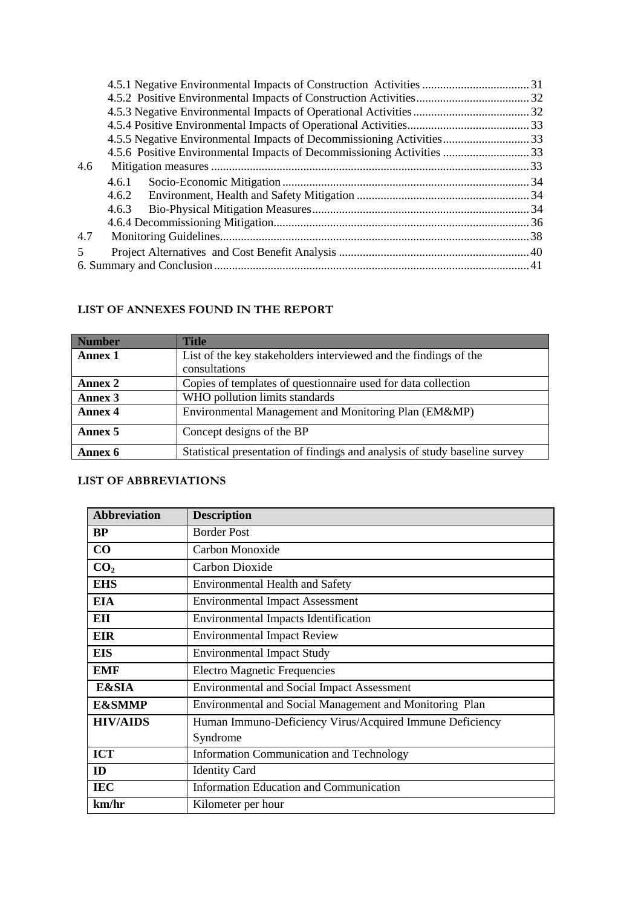|                | 4.5.6 Positive Environmental Impacts of Decommissioning Activities  33 |  |
|----------------|------------------------------------------------------------------------|--|
| 4.6            |                                                                        |  |
|                | 4.6.1                                                                  |  |
|                |                                                                        |  |
|                | 4.6.3                                                                  |  |
|                |                                                                        |  |
| 4.7            |                                                                        |  |
| $\overline{5}$ |                                                                        |  |
|                |                                                                        |  |

#### **LIST OF ANNEXES FOUND IN THE REPORT**

| <b>Number</b>  | <b>Title</b>                                                               |
|----------------|----------------------------------------------------------------------------|
| <b>Annex 1</b> | List of the key stakeholders interviewed and the findings of the           |
|                | consultations                                                              |
| Annex 2        | Copies of templates of questionnaire used for data collection              |
| Annex 3        | WHO pollution limits standards                                             |
| <b>Annex 4</b> | Environmental Management and Monitoring Plan (EM&MP)                       |
| Annex 5        | Concept designs of the BP                                                  |
| Annex 6        | Statistical presentation of findings and analysis of study baseline survey |

#### **LIST OF ABBREVIATIONS**

| <b>Abbreviation</b> | <b>Description</b>                                       |
|---------------------|----------------------------------------------------------|
| <b>BP</b>           | <b>Border Post</b>                                       |
| CO                  | Carbon Monoxide                                          |
| CO <sub>2</sub>     | Carbon Dioxide                                           |
| <b>EHS</b>          | <b>Environmental Health and Safety</b>                   |
| <b>EIA</b>          | <b>Environmental Impact Assessment</b>                   |
| EII                 | <b>Environmental Impacts Identification</b>              |
| <b>EIR</b>          | <b>Environmental Impact Review</b>                       |
| <b>EIS</b>          | <b>Environmental Impact Study</b>                        |
| <b>EMF</b>          | <b>Electro Magnetic Frequencies</b>                      |
| <b>E&amp;SIA</b>    | <b>Environmental and Social Impact Assessment</b>        |
| <b>E&amp;SMMP</b>   | Environmental and Social Management and Monitoring Plan  |
| <b>HIV/AIDS</b>     | Human Immuno-Deficiency Virus/Acquired Immune Deficiency |
|                     | Syndrome                                                 |
| <b>ICT</b>          | <b>Information Communication and Technology</b>          |
| ID                  | <b>Identity Card</b>                                     |
| <b>IEC</b>          | <b>Information Education and Communication</b>           |
| km/hr               | Kilometer per hour                                       |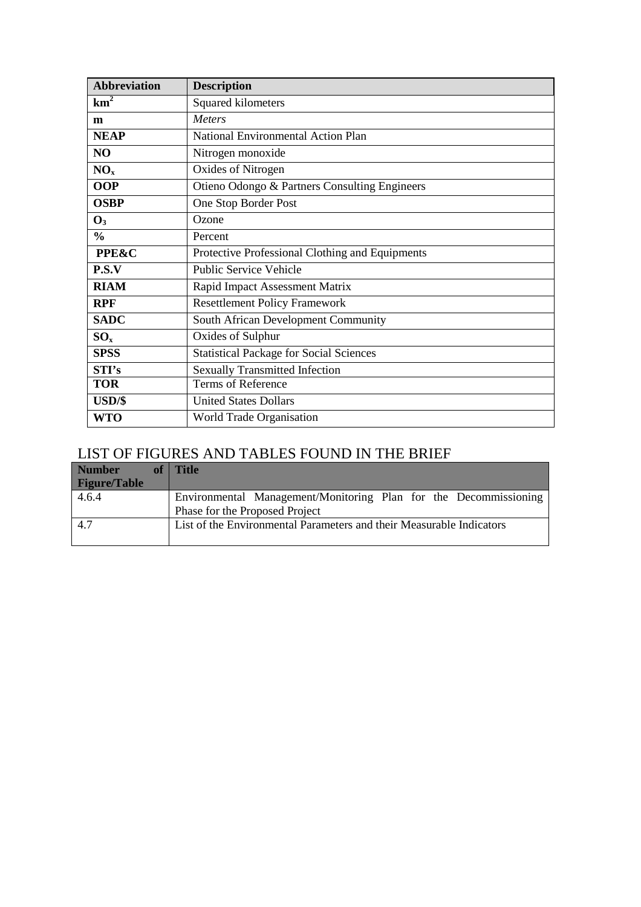| <b>Abbreviation</b> | <b>Description</b>                              |
|---------------------|-------------------------------------------------|
| km <sup>2</sup>     | Squared kilometers                              |
| m                   | <b>Meters</b>                                   |
| <b>NEAP</b>         | National Environmental Action Plan              |
| NO                  | Nitrogen monoxide                               |
| NO <sub>x</sub>     | Oxides of Nitrogen                              |
| <b>OOP</b>          | Otieno Odongo & Partners Consulting Engineers   |
| <b>OSBP</b>         | One Stop Border Post                            |
| $\mathbf{O}_3$      | Ozone                                           |
| $\frac{0}{0}$       | Percent                                         |
| <b>PPE&amp;C</b>    | Protective Professional Clothing and Equipments |
| P.S.V               | <b>Public Service Vehicle</b>                   |
| <b>RIAM</b>         | Rapid Impact Assessment Matrix                  |
| <b>RPF</b>          | <b>Resettlement Policy Framework</b>            |
| <b>SADC</b>         | South African Development Community             |
| $SO_{x}$            | Oxides of Sulphur                               |
| <b>SPSS</b>         | <b>Statistical Package for Social Sciences</b>  |
| STI's               | <b>Sexually Transmitted Infection</b>           |
| <b>TOR</b>          | Terms of Reference                              |
| USD/\$              | <b>United States Dollars</b>                    |
| <b>WTO</b>          | World Trade Organisation                        |

# LIST OF FIGURES AND TABLES FOUND IN THE BRIEF

| <b>Number</b>       | of   Title                                                                                         |
|---------------------|----------------------------------------------------------------------------------------------------|
| <b>Figure/Table</b> |                                                                                                    |
| 4.6.4               | Environmental Management/Monitoring Plan for the Decommissioning<br>Phase for the Proposed Project |
| 4.7                 | List of the Environmental Parameters and their Measurable Indicators                               |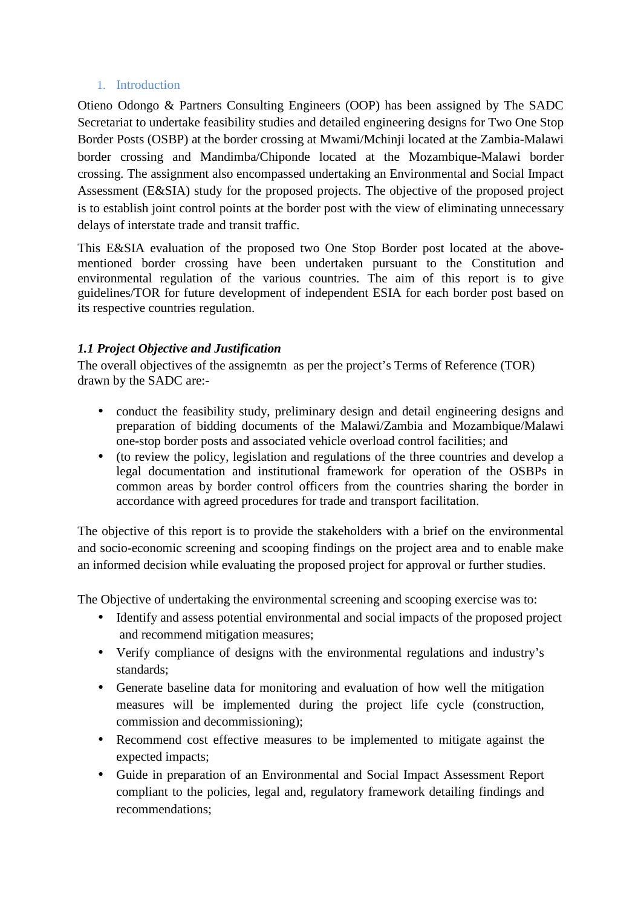#### 1. Introduction

Otieno Odongo & Partners Consulting Engineers (OOP) has been assigned by The SADC Secretariat to undertake feasibility studies and detailed engineering designs for Two One Stop Border Posts (OSBP) at the border crossing at Mwami/Mchinji located at the Zambia-Malawi border crossing and Mandimba/Chiponde located at the Mozambique-Malawi border crossing. The assignment also encompassed undertaking an Environmental and Social Impact Assessment (E&SIA) study for the proposed projects. The objective of the proposed project is to establish joint control points at the border post with the view of eliminating unnecessary delays of interstate trade and transit traffic.

This E&SIA evaluation of the proposed two One Stop Border post located at the abovementioned border crossing have been undertaken pursuant to the Constitution and environmental regulation of the various countries. The aim of this report is to give guidelines/TOR for future development of independent ESIA for each border post based on its respective countries regulation.

# *1.1 Project Objective and Justification*

The overall objectives of the assignemtn as per the project's Terms of Reference (TOR) drawn by the SADC are:-

- conduct the feasibility study, preliminary design and detail engineering designs and preparation of bidding documents of the Malawi/Zambia and Mozambique/Malawi one-stop border posts and associated vehicle overload control facilities; and
- (to review the policy, legislation and regulations of the three countries and develop a legal documentation and institutional framework for operation of the OSBPs in common areas by border control officers from the countries sharing the border in accordance with agreed procedures for trade and transport facilitation.

The objective of this report is to provide the stakeholders with a brief on the environmental and socio-economic screening and scooping findings on the project area and to enable make an informed decision while evaluating the proposed project for approval or further studies.

The Objective of undertaking the environmental screening and scooping exercise was to:

- Identify and assess potential environmental and social impacts of the proposed project and recommend mitigation measures;
- Verify compliance of designs with the environmental regulations and industry's standards;
- Generate baseline data for monitoring and evaluation of how well the mitigation measures will be implemented during the project life cycle (construction, commission and decommissioning);
- Recommend cost effective measures to be implemented to mitigate against the expected impacts;
- Guide in preparation of an Environmental and Social Impact Assessment Report compliant to the policies, legal and, regulatory framework detailing findings and recommendations;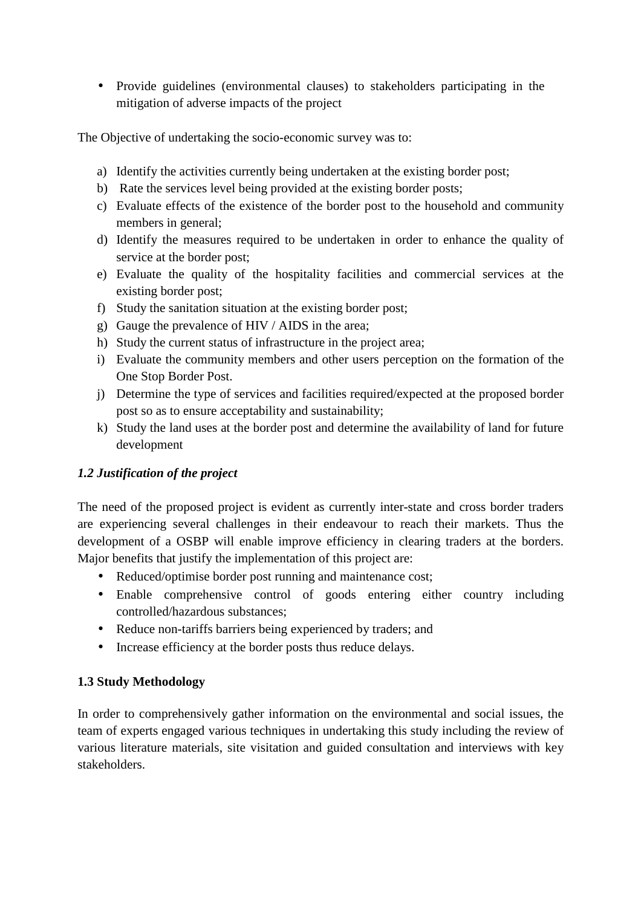• Provide guidelines (environmental clauses) to stakeholders participating in the mitigation of adverse impacts of the project

The Objective of undertaking the socio-economic survey was to:

- a) Identify the activities currently being undertaken at the existing border post;
- b) Rate the services level being provided at the existing border posts;
- c) Evaluate effects of the existence of the border post to the household and community members in general;
- d) Identify the measures required to be undertaken in order to enhance the quality of service at the border post;
- e) Evaluate the quality of the hospitality facilities and commercial services at the existing border post;
- f) Study the sanitation situation at the existing border post;
- g) Gauge the prevalence of HIV / AIDS in the area;
- h) Study the current status of infrastructure in the project area;
- i) Evaluate the community members and other users perception on the formation of the One Stop Border Post.
- j) Determine the type of services and facilities required/expected at the proposed border post so as to ensure acceptability and sustainability;
- k) Study the land uses at the border post and determine the availability of land for future development

# *1.2 Justification of the project*

The need of the proposed project is evident as currently inter-state and cross border traders are experiencing several challenges in their endeavour to reach their markets. Thus the development of a OSBP will enable improve efficiency in clearing traders at the borders. Major benefits that justify the implementation of this project are:

- Reduced/optimise border post running and maintenance cost;
- Enable comprehensive control of goods entering either country including controlled/hazardous substances;
- Reduce non-tariffs barriers being experienced by traders; and
- Increase efficiency at the border posts thus reduce delays.

# **1.3 Study Methodology**

In order to comprehensively gather information on the environmental and social issues, the team of experts engaged various techniques in undertaking this study including the review of various literature materials, site visitation and guided consultation and interviews with key stakeholders.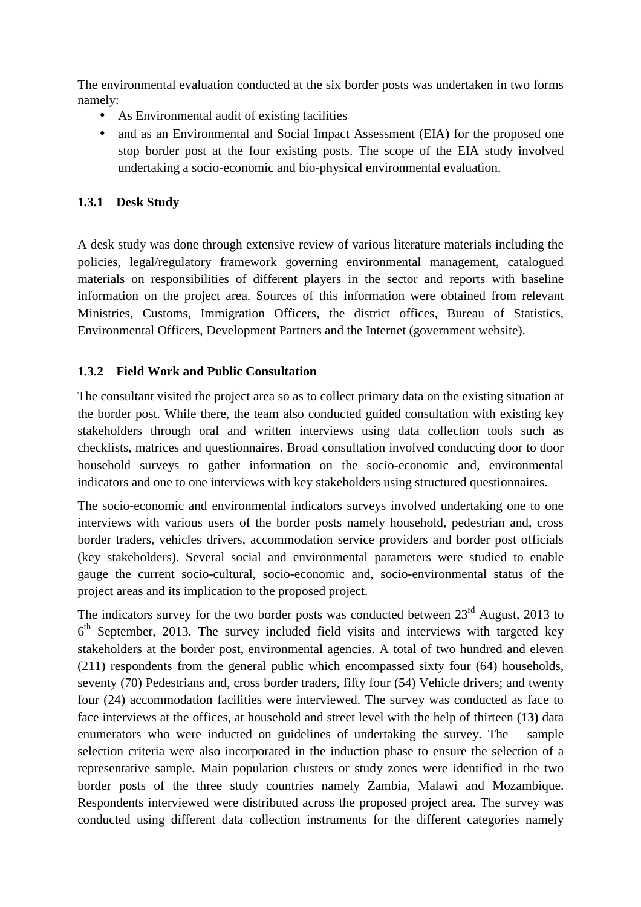The environmental evaluation conducted at the six border posts was undertaken in two forms namely:

- As Environmental audit of existing facilities
- and as an Environmental and Social Impact Assessment (EIA) for the proposed one stop border post at the four existing posts. The scope of the EIA study involved undertaking a socio-economic and bio-physical environmental evaluation.

# **1.3.1 Desk Study**

A desk study was done through extensive review of various literature materials including the policies, legal/regulatory framework governing environmental management, catalogued materials on responsibilities of different players in the sector and reports with baseline information on the project area. Sources of this information were obtained from relevant Ministries, Customs, Immigration Officers, the district offices, Bureau of Statistics, Environmental Officers, Development Partners and the Internet (government website).

# **1.3.2 Field Work and Public Consultation**

The consultant visited the project area so as to collect primary data on the existing situation at the border post. While there, the team also conducted guided consultation with existing key stakeholders through oral and written interviews using data collection tools such as checklists, matrices and questionnaires. Broad consultation involved conducting door to door household surveys to gather information on the socio-economic and, environmental indicators and one to one interviews with key stakeholders using structured questionnaires.

The socio-economic and environmental indicators surveys involved undertaking one to one interviews with various users of the border posts namely household, pedestrian and, cross border traders, vehicles drivers, accommodation service providers and border post officials (key stakeholders). Several social and environmental parameters were studied to enable gauge the current socio-cultural, socio-economic and, socio-environmental status of the project areas and its implication to the proposed project.

The indicators survey for the two border posts was conducted between  $23<sup>rd</sup>$  August, 2013 to  $6<sup>th</sup>$  September, 2013. The survey included field visits and interviews with targeted key stakeholders at the border post, environmental agencies. A total of two hundred and eleven (211) respondents from the general public which encompassed sixty four (64) households, seventy (70) Pedestrians and, cross border traders, fifty four (54) Vehicle drivers; and twenty four (24) accommodation facilities were interviewed. The survey was conducted as face to face interviews at the offices, at household and street level with the help of thirteen (**13)** data enumerators who were inducted on guidelines of undertaking the survey. The sample selection criteria were also incorporated in the induction phase to ensure the selection of a representative sample. Main population clusters or study zones were identified in the two border posts of the three study countries namely Zambia, Malawi and Mozambique. Respondents interviewed were distributed across the proposed project area. The survey was conducted using different data collection instruments for the different categories namely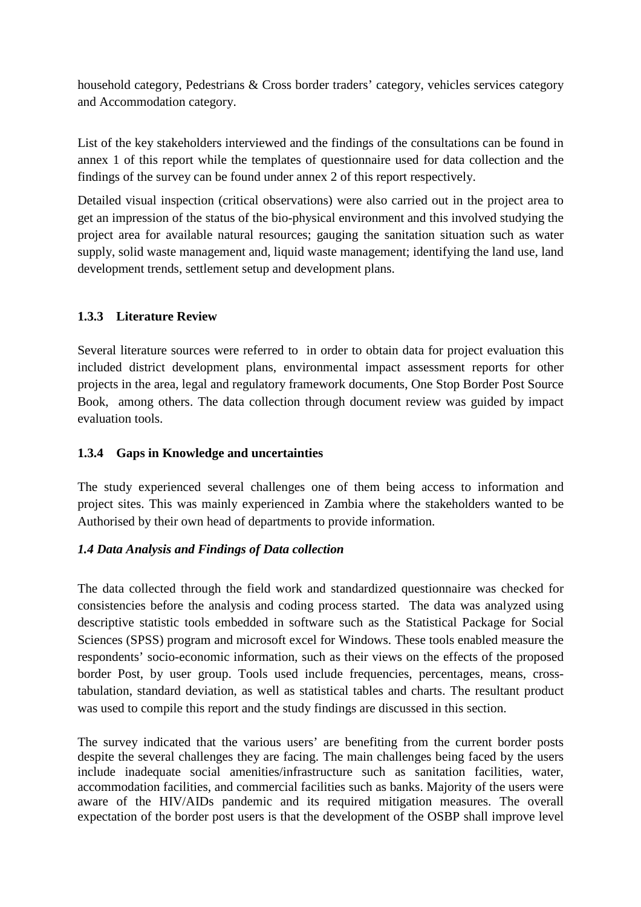household category, Pedestrians & Cross border traders' category, vehicles services category and Accommodation category.

List of the key stakeholders interviewed and the findings of the consultations can be found in annex 1 of this report while the templates of questionnaire used for data collection and the findings of the survey can be found under annex 2 of this report respectively.

Detailed visual inspection (critical observations) were also carried out in the project area to get an impression of the status of the bio-physical environment and this involved studying the project area for available natural resources; gauging the sanitation situation such as water supply, solid waste management and, liquid waste management; identifying the land use, land development trends, settlement setup and development plans.

# **1.3.3 Literature Review**

Several literature sources were referred to in order to obtain data for project evaluation this included district development plans, environmental impact assessment reports for other projects in the area, legal and regulatory framework documents, One Stop Border Post Source Book, among others. The data collection through document review was guided by impact evaluation tools.

## **1.3.4 Gaps in Knowledge and uncertainties**

The study experienced several challenges one of them being access to information and project sites. This was mainly experienced in Zambia where the stakeholders wanted to be Authorised by their own head of departments to provide information.

#### *1.4 Data Analysis and Findings of Data collection*

The data collected through the field work and standardized questionnaire was checked for consistencies before the analysis and coding process started. The data was analyzed using descriptive statistic tools embedded in software such as the Statistical Package for Social Sciences (SPSS) program and microsoft excel for Windows. These tools enabled measure the respondents' socio-economic information, such as their views on the effects of the proposed border Post, by user group. Tools used include frequencies, percentages, means, crosstabulation, standard deviation, as well as statistical tables and charts. The resultant product was used to compile this report and the study findings are discussed in this section.

The survey indicated that the various users' are benefiting from the current border posts despite the several challenges they are facing. The main challenges being faced by the users include inadequate social amenities/infrastructure such as sanitation facilities, water, accommodation facilities, and commercial facilities such as banks. Majority of the users were aware of the HIV/AIDs pandemic and its required mitigation measures. The overall expectation of the border post users is that the development of the OSBP shall improve level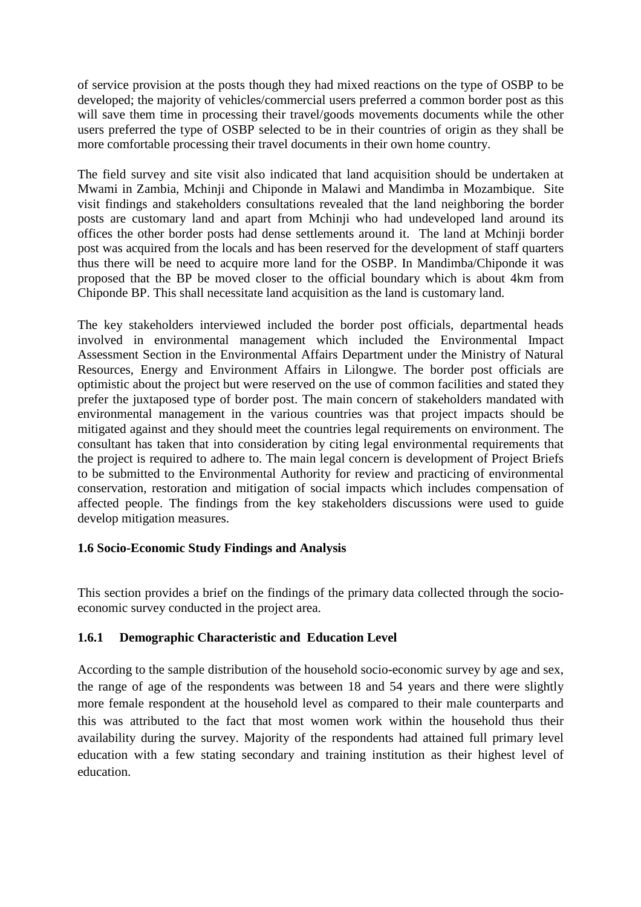of service provision at the posts though they had mixed reactions on the type of OSBP to be developed; the majority of vehicles/commercial users preferred a common border post as this will save them time in processing their travel/goods movements documents while the other users preferred the type of OSBP selected to be in their countries of origin as they shall be more comfortable processing their travel documents in their own home country.

The field survey and site visit also indicated that land acquisition should be undertaken at Mwami in Zambia, Mchinji and Chiponde in Malawi and Mandimba in Mozambique. Site visit findings and stakeholders consultations revealed that the land neighboring the border posts are customary land and apart from Mchinji who had undeveloped land around its offices the other border posts had dense settlements around it. The land at Mchinji border post was acquired from the locals and has been reserved for the development of staff quarters thus there will be need to acquire more land for the OSBP. In Mandimba/Chiponde it was proposed that the BP be moved closer to the official boundary which is about 4km from Chiponde BP. This shall necessitate land acquisition as the land is customary land.

The key stakeholders interviewed included the border post officials, departmental heads involved in environmental management which included the Environmental Impact Assessment Section in the Environmental Affairs Department under the Ministry of Natural Resources, Energy and Environment Affairs in Lilongwe. The border post officials are optimistic about the project but were reserved on the use of common facilities and stated they prefer the juxtaposed type of border post. The main concern of stakeholders mandated with environmental management in the various countries was that project impacts should be mitigated against and they should meet the countries legal requirements on environment. The consultant has taken that into consideration by citing legal environmental requirements that the project is required to adhere to. The main legal concern is development of Project Briefs to be submitted to the Environmental Authority for review and practicing of environmental conservation, restoration and mitigation of social impacts which includes compensation of affected people. The findings from the key stakeholders discussions were used to guide develop mitigation measures.

#### **1.6 Socio-Economic Study Findings and Analysis**

This section provides a brief on the findings of the primary data collected through the socioeconomic survey conducted in the project area.

#### **1.6.1 Demographic Characteristic and Education Level**

According to the sample distribution of the household socio-economic survey by age and sex, the range of age of the respondents was between 18 and 54 years and there were slightly more female respondent at the household level as compared to their male counterparts and this was attributed to the fact that most women work within the household thus their availability during the survey. Majority of the respondents had attained full primary level education with a few stating secondary and training institution as their highest level of education.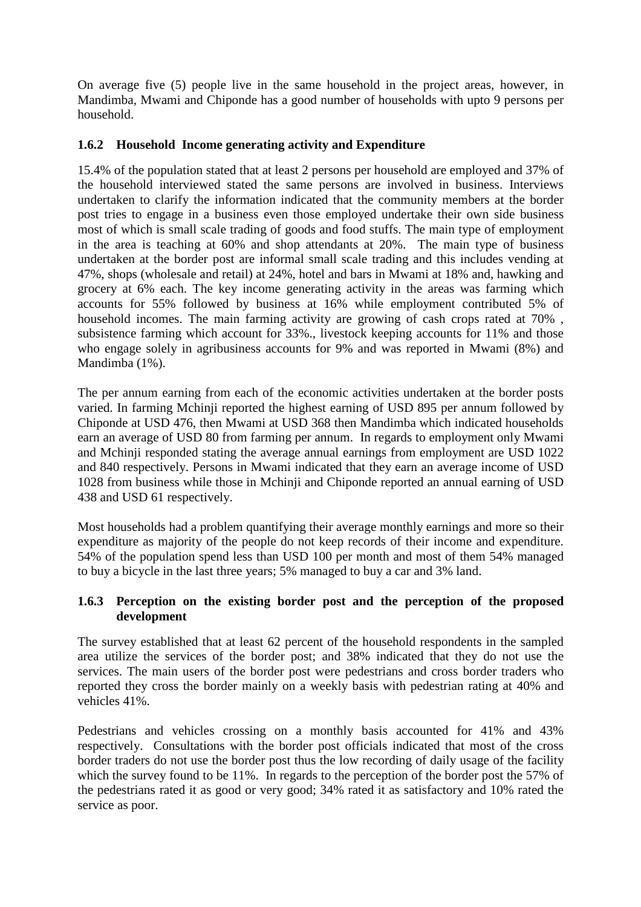On average five (5) people live in the same household in the project areas, however, in Mandimba, Mwami and Chiponde has a good number of households with upto 9 persons per household.

#### **1.6.2 Household Income generating activity and Expenditure**

15.4% of the population stated that at least 2 persons per household are employed and 37% of the household interviewed stated the same persons are involved in business. Interviews undertaken to clarify the information indicated that the community members at the border post tries to engage in a business even those employed undertake their own side business most of which is small scale trading of goods and food stuffs. The main type of employment in the area is teaching at 60% and shop attendants at 20%. The main type of business undertaken at the border post are informal small scale trading and this includes vending at 47%, shops (wholesale and retail) at 24%, hotel and bars in Mwami at 18% and, hawking and grocery at 6% each. The key income generating activity in the areas was farming which accounts for 55% followed by business at 16% while employment contributed 5% of household incomes. The main farming activity are growing of cash crops rated at 70% , subsistence farming which account for 33%., livestock keeping accounts for 11% and those who engage solely in agribusiness accounts for 9% and was reported in Mwami (8%) and Mandimba (1%).

The per annum earning from each of the economic activities undertaken at the border posts varied. In farming Mchinji reported the highest earning of USD 895 per annum followed by Chiponde at USD 476, then Mwami at USD 368 then Mandimba which indicated households earn an average of USD 80 from farming per annum. In regards to employment only Mwami and Mchinji responded stating the average annual earnings from employment are USD 1022 and 840 respectively. Persons in Mwami indicated that they earn an average income of USD 1028 from business while those in Mchinji and Chiponde reported an annual earning of USD 438 and USD 61 respectively.

Most households had a problem quantifying their average monthly earnings and more so their expenditure as majority of the people do not keep records of their income and expenditure. 54% of the population spend less than USD 100 per month and most of them 54% managed to buy a bicycle in the last three years; 5% managed to buy a car and 3% land.

#### **1.6.3 Perception on the existing border post and the perception of the proposed development**

The survey established that at least 62 percent of the household respondents in the sampled area utilize the services of the border post; and 38% indicated that they do not use the services. The main users of the border post were pedestrians and cross border traders who reported they cross the border mainly on a weekly basis with pedestrian rating at 40% and vehicles 41%.

Pedestrians and vehicles crossing on a monthly basis accounted for 41% and 43% respectively. Consultations with the border post officials indicated that most of the cross border traders do not use the border post thus the low recording of daily usage of the facility which the survey found to be 11%. In regards to the perception of the border post the 57% of the pedestrians rated it as good or very good; 34% rated it as satisfactory and 10% rated the service as poor.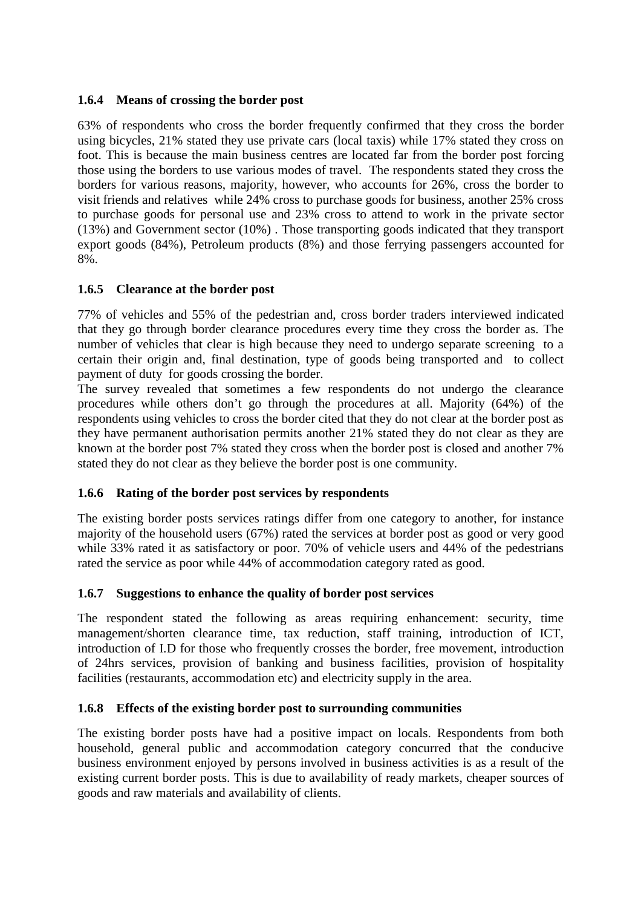#### **1.6.4 Means of crossing the border post**

63% of respondents who cross the border frequently confirmed that they cross the border using bicycles, 21% stated they use private cars (local taxis) while 17% stated they cross on foot. This is because the main business centres are located far from the border post forcing those using the borders to use various modes of travel. The respondents stated they cross the borders for various reasons, majority, however, who accounts for 26%, cross the border to visit friends and relatives while 24% cross to purchase goods for business, another 25% cross to purchase goods for personal use and 23% cross to attend to work in the private sector (13%) and Government sector (10%) . Those transporting goods indicated that they transport export goods (84%), Petroleum products (8%) and those ferrying passengers accounted for 8%.

#### **1.6.5 Clearance at the border post**

77% of vehicles and 55% of the pedestrian and, cross border traders interviewed indicated that they go through border clearance procedures every time they cross the border as. The number of vehicles that clear is high because they need to undergo separate screening to a certain their origin and, final destination, type of goods being transported and to collect payment of duty for goods crossing the border.

The survey revealed that sometimes a few respondents do not undergo the clearance procedures while others don't go through the procedures at all. Majority (64%) of the respondents using vehicles to cross the border cited that they do not clear at the border post as they have permanent authorisation permits another 21% stated they do not clear as they are known at the border post 7% stated they cross when the border post is closed and another 7% stated they do not clear as they believe the border post is one community.

#### **1.6.6 Rating of the border post services by respondents**

The existing border posts services ratings differ from one category to another, for instance majority of the household users (67%) rated the services at border post as good or very good while 33% rated it as satisfactory or poor. 70% of vehicle users and 44% of the pedestrians rated the service as poor while 44% of accommodation category rated as good.

#### **1.6.7 Suggestions to enhance the quality of border post services**

The respondent stated the following as areas requiring enhancement: security, time management/shorten clearance time, tax reduction, staff training, introduction of ICT, introduction of I.D for those who frequently crosses the border, free movement, introduction of 24hrs services, provision of banking and business facilities, provision of hospitality facilities (restaurants, accommodation etc) and electricity supply in the area.

#### **1.6.8 Effects of the existing border post to surrounding communities**

The existing border posts have had a positive impact on locals. Respondents from both household, general public and accommodation category concurred that the conducive business environment enjoyed by persons involved in business activities is as a result of the existing current border posts. This is due to availability of ready markets, cheaper sources of goods and raw materials and availability of clients.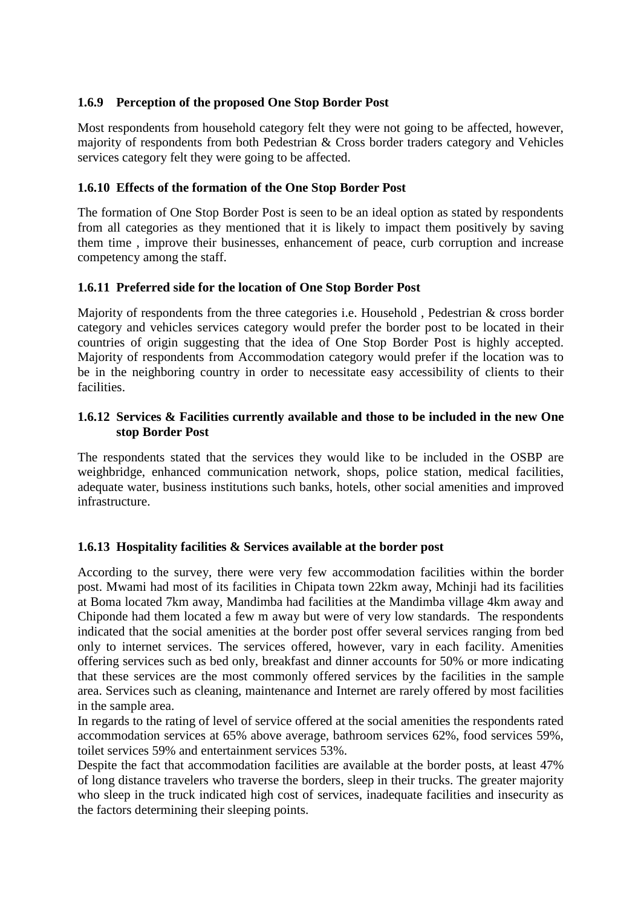#### **1.6.9 Perception of the proposed One Stop Border Post**

Most respondents from household category felt they were not going to be affected, however, majority of respondents from both Pedestrian & Cross border traders category and Vehicles services category felt they were going to be affected.

# **1.6.10 Effects of the formation of the One Stop Border Post**

The formation of One Stop Border Post is seen to be an ideal option as stated by respondents from all categories as they mentioned that it is likely to impact them positively by saving them time , improve their businesses, enhancement of peace, curb corruption and increase competency among the staff.

# **1.6.11 Preferred side for the location of One Stop Border Post**

Majority of respondents from the three categories i.e. Household , Pedestrian & cross border category and vehicles services category would prefer the border post to be located in their countries of origin suggesting that the idea of One Stop Border Post is highly accepted. Majority of respondents from Accommodation category would prefer if the location was to be in the neighboring country in order to necessitate easy accessibility of clients to their facilities.

#### **1.6.12 Services & Facilities currently available and those to be included in the new One stop Border Post**

The respondents stated that the services they would like to be included in the OSBP are weighbridge, enhanced communication network, shops, police station, medical facilities, adequate water, business institutions such banks, hotels, other social amenities and improved infrastructure.

#### **1.6.13 Hospitality facilities & Services available at the border post**

According to the survey, there were very few accommodation facilities within the border post. Mwami had most of its facilities in Chipata town 22km away, Mchinji had its facilities at Boma located 7km away, Mandimba had facilities at the Mandimba village 4km away and Chiponde had them located a few m away but were of very low standards. The respondents indicated that the social amenities at the border post offer several services ranging from bed only to internet services. The services offered, however, vary in each facility. Amenities offering services such as bed only, breakfast and dinner accounts for 50% or more indicating that these services are the most commonly offered services by the facilities in the sample area. Services such as cleaning, maintenance and Internet are rarely offered by most facilities in the sample area.

In regards to the rating of level of service offered at the social amenities the respondents rated accommodation services at 65% above average, bathroom services 62%, food services 59%, toilet services 59% and entertainment services 53%.

Despite the fact that accommodation facilities are available at the border posts, at least 47% of long distance travelers who traverse the borders, sleep in their trucks. The greater majority who sleep in the truck indicated high cost of services, inadequate facilities and insecurity as the factors determining their sleeping points.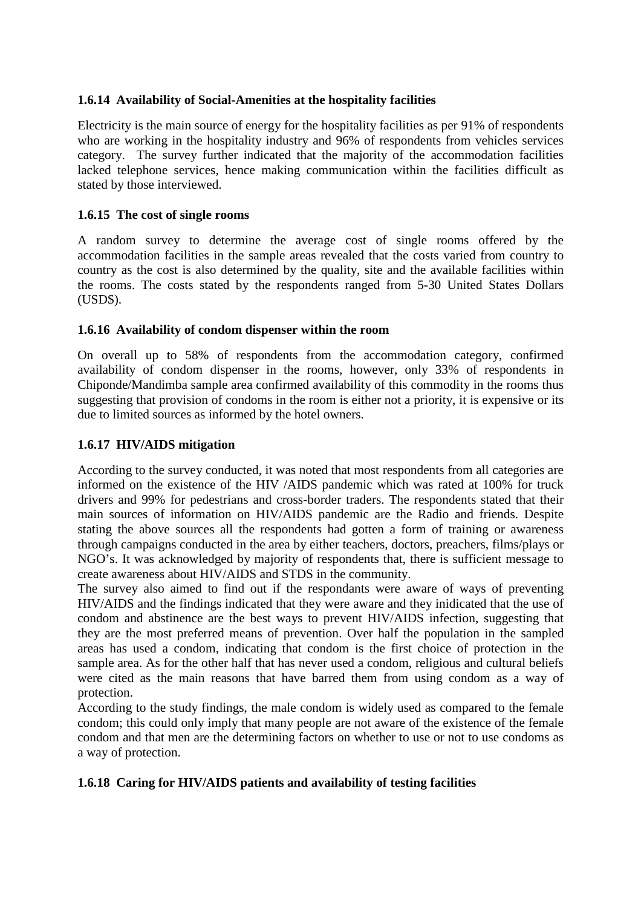#### **1.6.14 Availability of Social-Amenities at the hospitality facilities**

Electricity is the main source of energy for the hospitality facilities as per 91% of respondents who are working in the hospitality industry and 96% of respondents from vehicles services category. The survey further indicated that the majority of the accommodation facilities lacked telephone services, hence making communication within the facilities difficult as stated by those interviewed.

#### **1.6.15 The cost of single rooms**

A random survey to determine the average cost of single rooms offered by the accommodation facilities in the sample areas revealed that the costs varied from country to country as the cost is also determined by the quality, site and the available facilities within the rooms. The costs stated by the respondents ranged from 5-30 United States Dollars (USD\$).

#### **1.6.16 Availability of condom dispenser within the room**

On overall up to 58% of respondents from the accommodation category, confirmed availability of condom dispenser in the rooms, however, only 33% of respondents in Chiponde/Mandimba sample area confirmed availability of this commodity in the rooms thus suggesting that provision of condoms in the room is either not a priority, it is expensive or its due to limited sources as informed by the hotel owners.

#### **1.6.17 HIV/AIDS mitigation**

According to the survey conducted, it was noted that most respondents from all categories are informed on the existence of the HIV /AIDS pandemic which was rated at 100% for truck drivers and 99% for pedestrians and cross-border traders. The respondents stated that their main sources of information on HIV/AIDS pandemic are the Radio and friends. Despite stating the above sources all the respondents had gotten a form of training or awareness through campaigns conducted in the area by either teachers, doctors, preachers, films/plays or NGO's. It was acknowledged by majority of respondents that, there is sufficient message to create awareness about HIV/AIDS and STDS in the community.

The survey also aimed to find out if the respondants were aware of ways of preventing HIV/AIDS and the findings indicated that they were aware and they inidicated that the use of condom and abstinence are the best ways to prevent HIV/AIDS infection, suggesting that they are the most preferred means of prevention. Over half the population in the sampled areas has used a condom, indicating that condom is the first choice of protection in the sample area. As for the other half that has never used a condom, religious and cultural beliefs were cited as the main reasons that have barred them from using condom as a way of protection.

According to the study findings, the male condom is widely used as compared to the female condom; this could only imply that many people are not aware of the existence of the female condom and that men are the determining factors on whether to use or not to use condoms as a way of protection.

#### **1.6.18 Caring for HIV/AIDS patients and availability of testing facilities**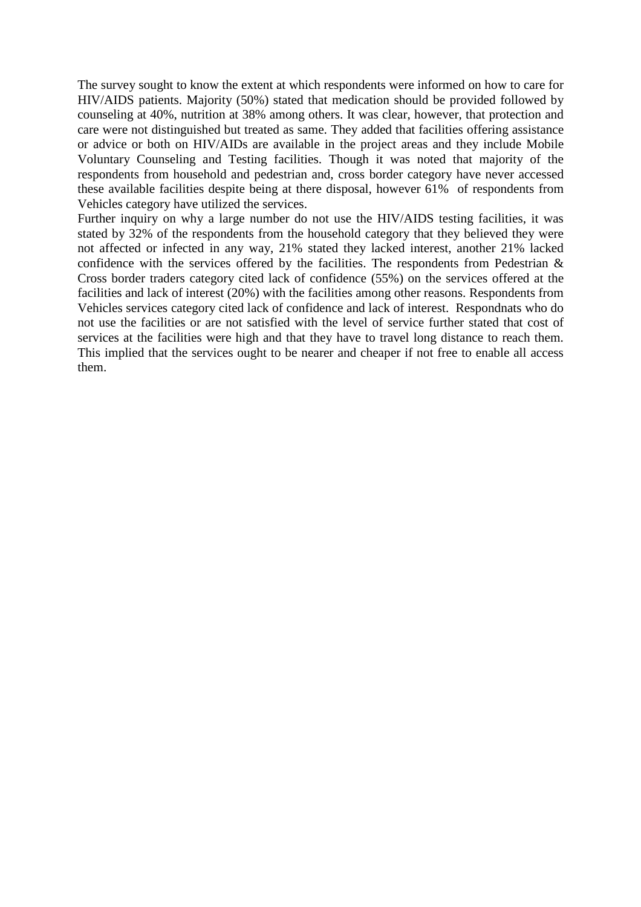The survey sought to know the extent at which respondents were informed on how to care for HIV/AIDS patients. Majority (50%) stated that medication should be provided followed by counseling at 40%, nutrition at 38% among others. It was clear, however, that protection and care were not distinguished but treated as same. They added that facilities offering assistance or advice or both on HIV/AIDs are available in the project areas and they include Mobile Voluntary Counseling and Testing facilities. Though it was noted that majority of the respondents from household and pedestrian and, cross border category have never accessed these available facilities despite being at there disposal, however 61% of respondents from Vehicles category have utilized the services.

Further inquiry on why a large number do not use the HIV/AIDS testing facilities, it was stated by 32% of the respondents from the household category that they believed they were not affected or infected in any way, 21% stated they lacked interest, another 21% lacked confidence with the services offered by the facilities. The respondents from Pedestrian & Cross border traders category cited lack of confidence (55%) on the services offered at the facilities and lack of interest (20%) with the facilities among other reasons. Respondents from Vehicles services category cited lack of confidence and lack of interest. Respondnats who do not use the facilities or are not satisfied with the level of service further stated that cost of services at the facilities were high and that they have to travel long distance to reach them. This implied that the services ought to be nearer and cheaper if not free to enable all access them.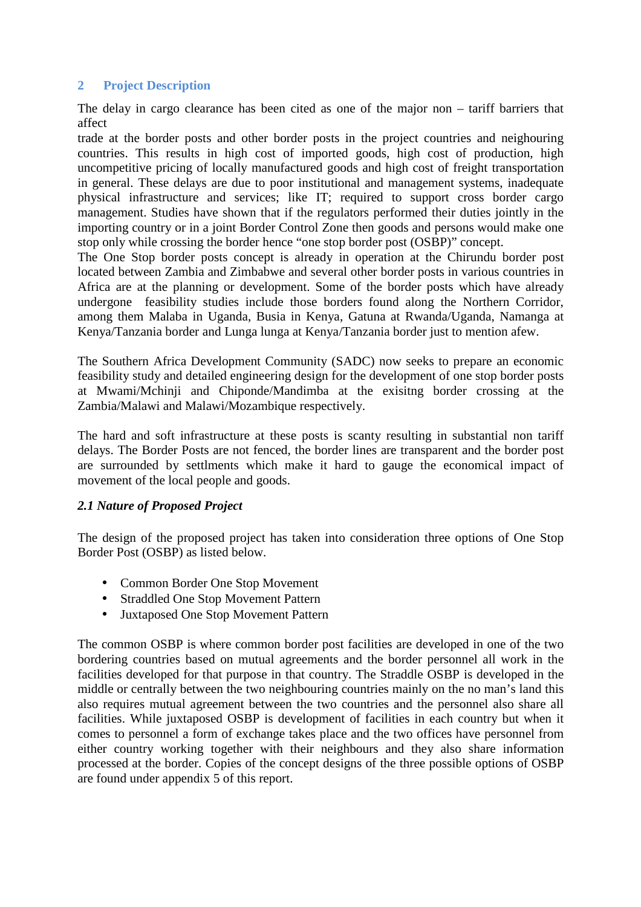# **2 Project Description**

The delay in cargo clearance has been cited as one of the major non – tariff barriers that affect

trade at the border posts and other border posts in the project countries and neighouring countries. This results in high cost of imported goods, high cost of production, high uncompetitive pricing of locally manufactured goods and high cost of freight transportation in general. These delays are due to poor institutional and management systems, inadequate physical infrastructure and services; like IT; required to support cross border cargo management. Studies have shown that if the regulators performed their duties jointly in the importing country or in a joint Border Control Zone then goods and persons would make one stop only while crossing the border hence "one stop border post (OSBP)" concept.

The One Stop border posts concept is already in operation at the Chirundu border post located between Zambia and Zimbabwe and several other border posts in various countries in Africa are at the planning or development. Some of the border posts which have already undergone feasibility studies include those borders found along the Northern Corridor, among them Malaba in Uganda, Busia in Kenya, Gatuna at Rwanda/Uganda, Namanga at Kenya/Tanzania border and Lunga lunga at Kenya/Tanzania border just to mention afew.

The Southern Africa Development Community (SADC) now seeks to prepare an economic feasibility study and detailed engineering design for the development of one stop border posts at Mwami/Mchinji and Chiponde/Mandimba at the exisitng border crossing at the Zambia/Malawi and Malawi/Mozambique respectively.

The hard and soft infrastructure at these posts is scanty resulting in substantial non tariff delays. The Border Posts are not fenced, the border lines are transparent and the border post are surrounded by settlments which make it hard to gauge the economical impact of movement of the local people and goods.

#### *2.1 Nature of Proposed Project*

The design of the proposed project has taken into consideration three options of One Stop Border Post (OSBP) as listed below.

- Common Border One Stop Movement
- Straddled One Stop Movement Pattern
- Juxtaposed One Stop Movement Pattern

The common OSBP is where common border post facilities are developed in one of the two bordering countries based on mutual agreements and the border personnel all work in the facilities developed for that purpose in that country. The Straddle OSBP is developed in the middle or centrally between the two neighbouring countries mainly on the no man's land this also requires mutual agreement between the two countries and the personnel also share all facilities. While juxtaposed OSBP is development of facilities in each country but when it comes to personnel a form of exchange takes place and the two offices have personnel from either country working together with their neighbours and they also share information processed at the border. Copies of the concept designs of the three possible options of OSBP are found under appendix 5 of this report.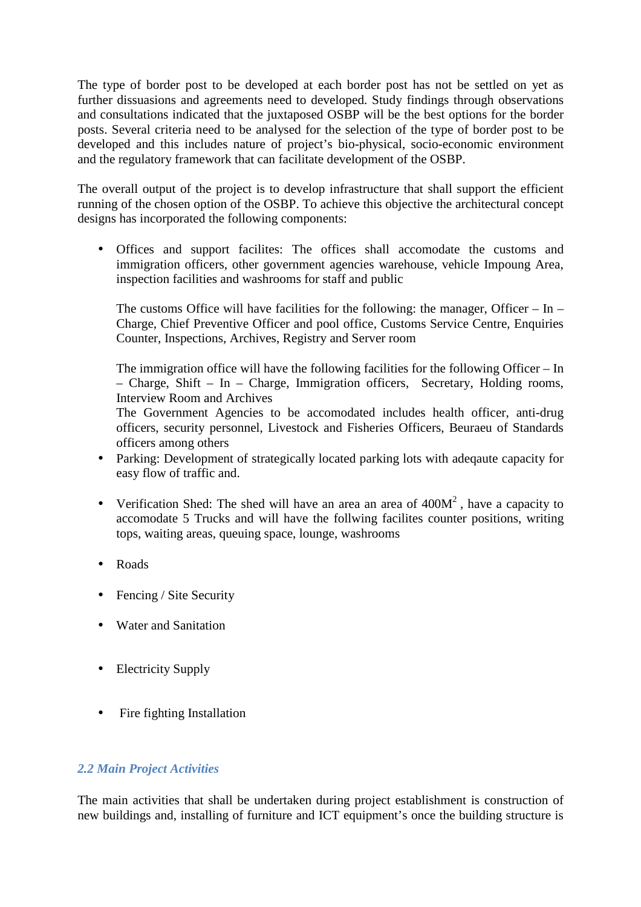The type of border post to be developed at each border post has not be settled on yet as further dissuasions and agreements need to developed. Study findings through observations and consultations indicated that the juxtaposed OSBP will be the best options for the border posts. Several criteria need to be analysed for the selection of the type of border post to be developed and this includes nature of project's bio-physical, socio-economic environment and the regulatory framework that can facilitate development of the OSBP.

The overall output of the project is to develop infrastructure that shall support the efficient running of the chosen option of the OSBP. To achieve this objective the architectural concept designs has incorporated the following components:

• Offices and support facilites: The offices shall accomodate the customs and immigration officers, other government agencies warehouse, vehicle Impoung Area, inspection facilities and washrooms for staff and public

The customs Office will have facilities for the following: the manager, Officer – In – Charge, Chief Preventive Officer and pool office, Customs Service Centre, Enquiries Counter, Inspections, Archives, Registry and Server room

The immigration office will have the following facilities for the following Officer – In – Charge, Shift – In – Charge, Immigration officers, Secretary, Holding rooms, Interview Room and Archives

The Government Agencies to be accomodated includes health officer, anti-drug officers, security personnel, Livestock and Fisheries Officers, Beuraeu of Standards officers among others

- Parking: Development of strategically located parking lots with adeqaute capacity for easy flow of traffic and.
- Verification Shed: The shed will have an area an area of  $400M<sup>2</sup>$ , have a capacity to accomodate 5 Trucks and will have the follwing facilites counter positions, writing tops, waiting areas, queuing space, lounge, washrooms
- Roads
- Fencing / Site Security
- Water and Sanitation
- Electricity Supply
- Fire fighting Installation

#### *2.2 Main Project Activities*

The main activities that shall be undertaken during project establishment is construction of new buildings and, installing of furniture and ICT equipment's once the building structure is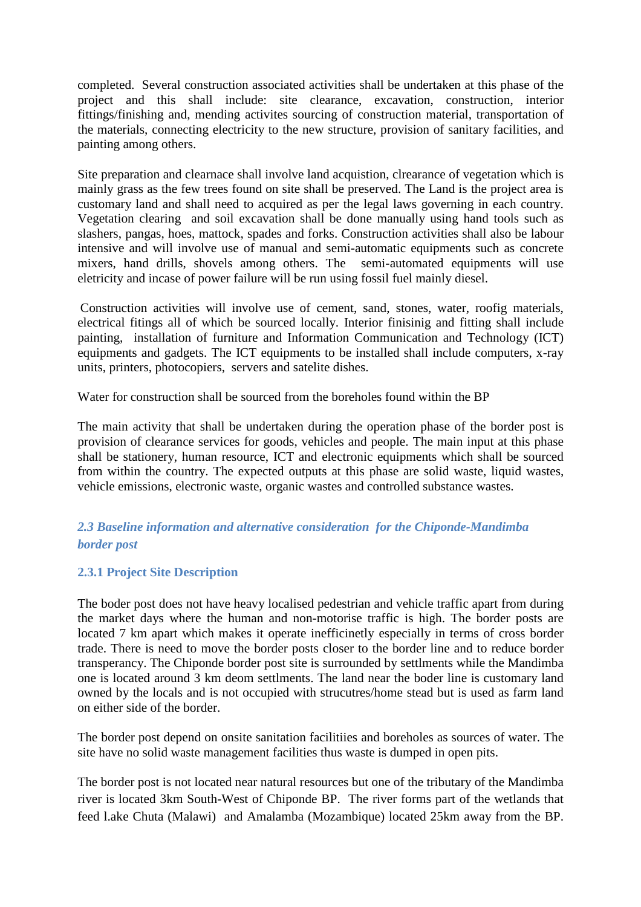completed. Several construction associated activities shall be undertaken at this phase of the project and this shall include: site clearance, excavation, construction, interior fittings/finishing and, mending activites sourcing of construction material, transportation of the materials, connecting electricity to the new structure, provision of sanitary facilities, and painting among others.

Site preparation and clearnace shall involve land acquistion, clrearance of vegetation which is mainly grass as the few trees found on site shall be preserved. The Land is the project area is customary land and shall need to acquired as per the legal laws governing in each country. Vegetation clearing and soil excavation shall be done manually using hand tools such as slashers, pangas, hoes, mattock, spades and forks. Construction activities shall also be labour intensive and will involve use of manual and semi-automatic equipments such as concrete mixers, hand drills, shovels among others. The semi-automated equipments will use eletricity and incase of power failure will be run using fossil fuel mainly diesel.

 Construction activities will involve use of cement, sand, stones, water, roofig materials, electrical fitings all of which be sourced locally. Interior finisinig and fitting shall include painting, installation of furniture and Information Communication and Technology (ICT) equipments and gadgets. The ICT equipments to be installed shall include computers, x-ray units, printers, photocopiers, servers and satelite dishes.

Water for construction shall be sourced from the boreholes found within the BP

The main activity that shall be undertaken during the operation phase of the border post is provision of clearance services for goods, vehicles and people. The main input at this phase shall be stationery, human resource, ICT and electronic equipments which shall be sourced from within the country. The expected outputs at this phase are solid waste, liquid wastes, vehicle emissions, electronic waste, organic wastes and controlled substance wastes.

# *2.3 Baseline information and alternative consideration for the Chiponde-Mandimba border post*

# **2.3.1 Project Site Description**

The boder post does not have heavy localised pedestrian and vehicle traffic apart from during the market days where the human and non-motorise traffic is high. The border posts are located 7 km apart which makes it operate inefficinetly especially in terms of cross border trade. There is need to move the border posts closer to the border line and to reduce border transperancy. The Chiponde border post site is surrounded by settlments while the Mandimba one is located around 3 km deom settlments. The land near the boder line is customary land owned by the locals and is not occupied with strucutres/home stead but is used as farm land on either side of the border.

The border post depend on onsite sanitation facilitiies and boreholes as sources of water. The site have no solid waste management facilities thus waste is dumped in open pits.

The border post is not located near natural resources but one of the tributary of the Mandimba river is located 3km South-West of Chiponde BP. The river forms part of the wetlands that feed l.ake Chuta (Malawi) and Amalamba (Mozambique) located 25km away from the BP.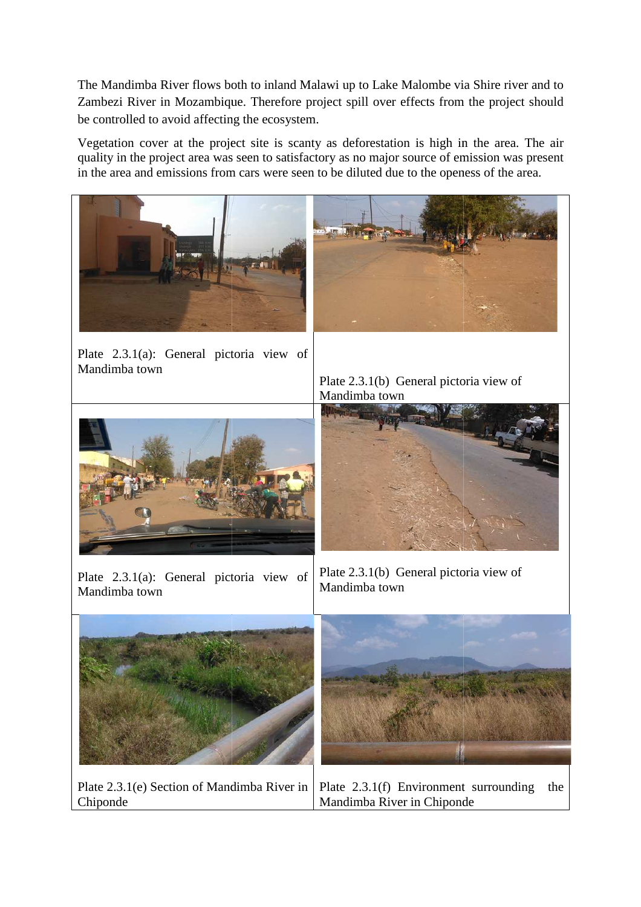The Mandimba River flows both to inland Malawi up to Lake Malombe via Shire river and to Zambezi River in Mozambique. Therefore project spill over effects from the project should be controlled to avoid affecting the ecosystem.

Vegetation cover at the project site is scanty as deforestation is high in the area. The air quality in the project area was seen to satisfactory as no major source of emission was present in the area and emissions from cars were seen to be diluted due to the openess of the area.

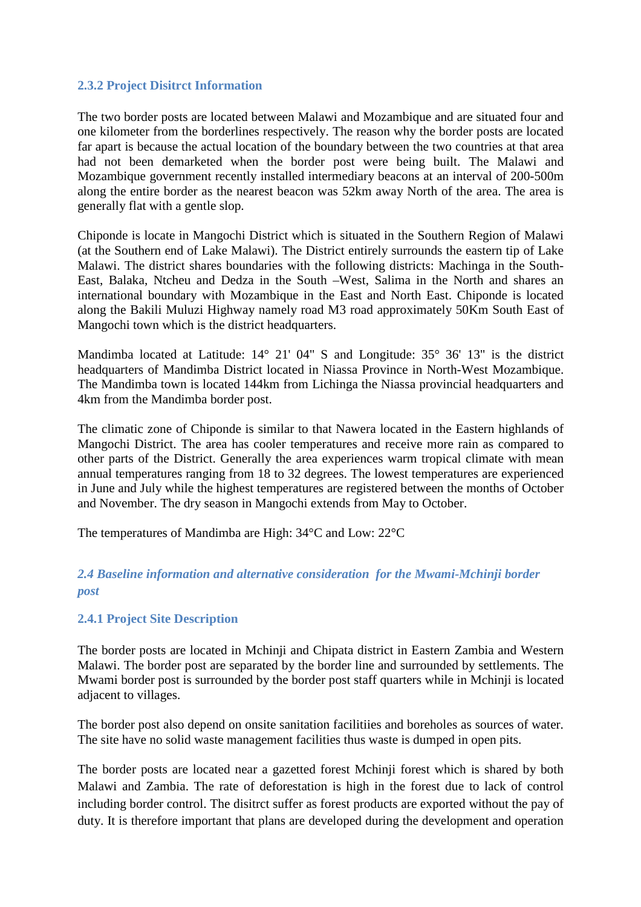#### **2.3.2 Project Disitrct Information**

The two border posts are located between Malawi and Mozambique and are situated four and one kilometer from the borderlines respectively. The reason why the border posts are located far apart is because the actual location of the boundary between the two countries at that area had not been demarketed when the border post were being built. The Malawi and Mozambique government recently installed intermediary beacons at an interval of 200-500m along the entire border as the nearest beacon was 52km away North of the area. The area is generally flat with a gentle slop.

Chiponde is locate in Mangochi District which is situated in the Southern Region of Malawi (at the Southern end of Lake Malawi). The District entirely surrounds the eastern tip of Lake Malawi. The district shares boundaries with the following districts: Machinga in the South-East, Balaka, Ntcheu and Dedza in the South –West, Salima in the North and shares an international boundary with Mozambique in the East and North East. Chiponde is located along the Bakili Muluzi Highway namely road M3 road approximately 50Km South East of Mangochi town which is the district headquarters.

Mandimba located at Latitude: 14° 21' 04" S and Longitude: 35° 36' 13" is the district headquarters of Mandimba District located in Niassa Province in North-West Mozambique. The Mandimba town is located 144km from Lichinga the Niassa provincial headquarters and 4km from the Mandimba border post.

The climatic zone of Chiponde is similar to that Nawera located in the Eastern highlands of Mangochi District. The area has cooler temperatures and receive more rain as compared to other parts of the District. Generally the area experiences warm tropical climate with mean annual temperatures ranging from 18 to 32 degrees. The lowest temperatures are experienced in June and July while the highest temperatures are registered between the months of October and November. The dry season in Mangochi extends from May to October.

The temperatures of Mandimba are High: 34°C and Low: 22°C

# *2.4 Baseline information and alternative consideration for the Mwami-Mchinji border post*

#### **2.4.1 Project Site Description**

The border posts are located in Mchinji and Chipata district in Eastern Zambia and Western Malawi. The border post are separated by the border line and surrounded by settlements. The Mwami border post is surrounded by the border post staff quarters while in Mchinji is located adjacent to villages.

The border post also depend on onsite sanitation facilitiies and boreholes as sources of water. The site have no solid waste management facilities thus waste is dumped in open pits.

The border posts are located near a gazetted forest Mchinji forest which is shared by both Malawi and Zambia. The rate of deforestation is high in the forest due to lack of control including border control. The disitrct suffer as forest products are exported without the pay of duty. It is therefore important that plans are developed during the development and operation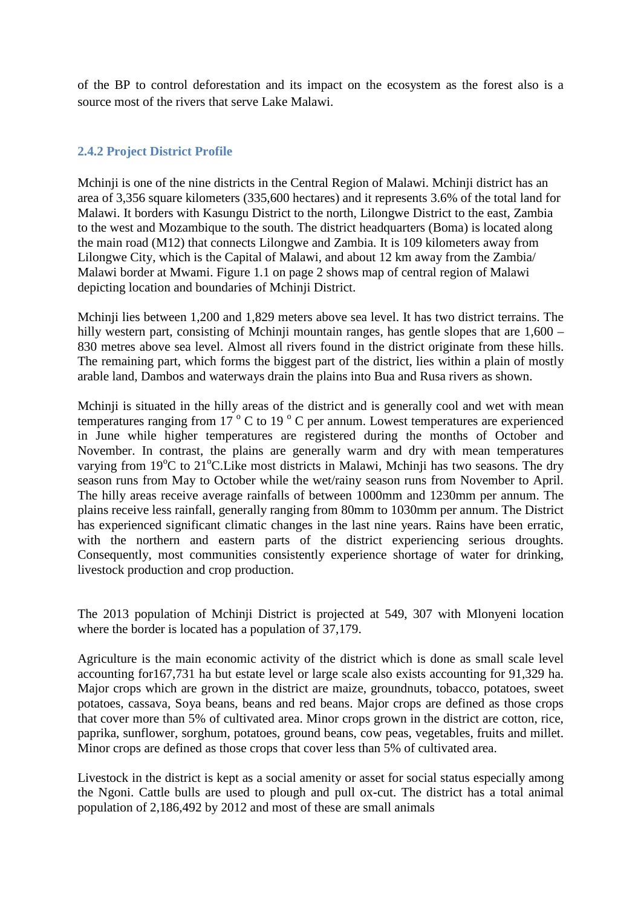of the BP to control deforestation and its impact on the ecosystem as the forest also is a source most of the rivers that serve Lake Malawi.

#### **2.4.2 Project District Profile**

Mchinji is one of the nine districts in the Central Region of Malawi. Mchinji district has an area of 3,356 square kilometers (335,600 hectares) and it represents 3.6% of the total land for Malawi. It borders with Kasungu District to the north, Lilongwe District to the east, Zambia to the west and Mozambique to the south. The district headquarters (Boma) is located along the main road (M12) that connects Lilongwe and Zambia. It is 109 kilometers away from Lilongwe City, which is the Capital of Malawi, and about 12 km away from the Zambia/ Malawi border at Mwami. Figure 1.1 on page 2 shows map of central region of Malawi depicting location and boundaries of Mchinji District.

 Mchinji lies between 1,200 and 1,829 meters above sea level. It has two district terrains. The hilly western part, consisting of Mchinji mountain ranges, has gentle slopes that are  $1,600 -$ 830 metres above sea level. Almost all rivers found in the district originate from these hills. The remaining part, which forms the biggest part of the district, lies within a plain of mostly arable land, Dambos and waterways drain the plains into Bua and Rusa rivers as shown.

Mchinji is situated in the hilly areas of the district and is generally cool and wet with mean temperatures ranging from 17 $\degree$ C to 19 $\degree$ C per annum. Lowest temperatures are experienced in June while higher temperatures are registered during the months of October and November. In contrast, the plains are generally warm and dry with mean temperatures varying from  $19^{\circ}$ C to  $21^{\circ}$ C. Like most districts in Malawi, Mchinji has two seasons. The dry season runs from May to October while the wet/rainy season runs from November to April. The hilly areas receive average rainfalls of between 1000mm and 1230mm per annum. The plains receive less rainfall, generally ranging from 80mm to 1030mm per annum. The District has experienced significant climatic changes in the last nine years. Rains have been erratic, with the northern and eastern parts of the district experiencing serious droughts. Consequently, most communities consistently experience shortage of water for drinking, livestock production and crop production.

 The 2013 population of Mchinji District is projected at 549, 307 with Mlonyeni location where the border is located has a population of 37,179.

Agriculture is the main economic activity of the district which is done as small scale level accounting for167,731 ha but estate level or large scale also exists accounting for 91,329 ha. Major crops which are grown in the district are maize, groundnuts, tobacco, potatoes, sweet potatoes, cassava, Soya beans, beans and red beans. Major crops are defined as those crops that cover more than 5% of cultivated area. Minor crops grown in the district are cotton, rice, paprika, sunflower, sorghum, potatoes, ground beans, cow peas, vegetables, fruits and millet. Minor crops are defined as those crops that cover less than 5% of cultivated area.

Livestock in the district is kept as a social amenity or asset for social status especially among the Ngoni. Cattle bulls are used to plough and pull ox-cut. The district has a total animal population of 2,186,492 by 2012 and most of these are small animals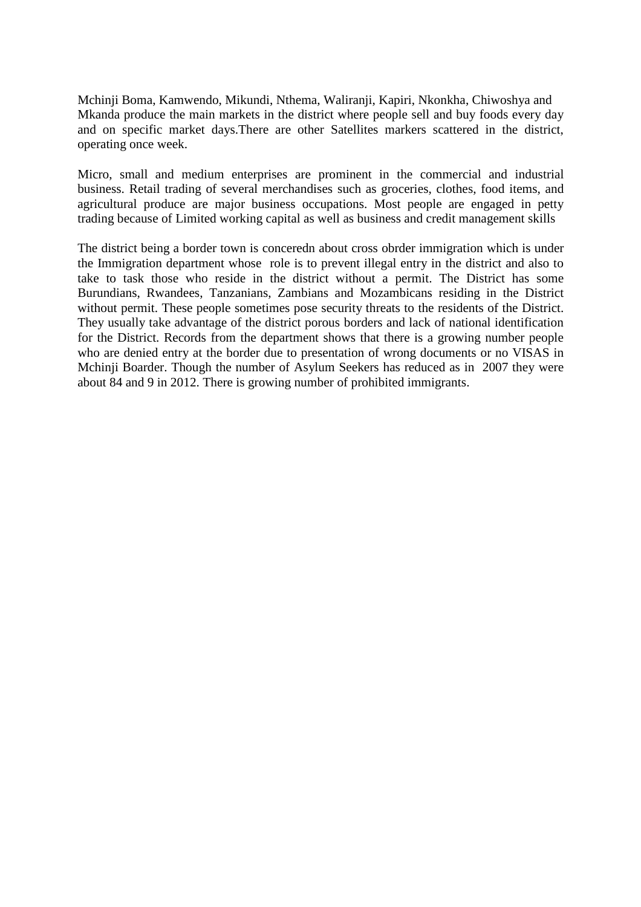Mchinji Boma, Kamwendo, Mikundi, Nthema, Waliranji, Kapiri, Nkonkha, Chiwoshya and Mkanda produce the main markets in the district where people sell and buy foods every day and on specific market days.There are other Satellites markers scattered in the district, operating once week.

Micro, small and medium enterprises are prominent in the commercial and industrial business. Retail trading of several merchandises such as groceries, clothes, food items, and agricultural produce are major business occupations. Most people are engaged in petty trading because of Limited working capital as well as business and credit management skills

 The district being a border town is conceredn about cross obrder immigration which is under the Immigration department whose role is to prevent illegal entry in the district and also to take to task those who reside in the district without a permit. The District has some Burundians, Rwandees, Tanzanians, Zambians and Mozambicans residing in the District without permit. These people sometimes pose security threats to the residents of the District. They usually take advantage of the district porous borders and lack of national identification for the District. Records from the department shows that there is a growing number people who are denied entry at the border due to presentation of wrong documents or no VISAS in Mchinji Boarder. Though the number of Asylum Seekers has reduced as in 2007 they were about 84 and 9 in 2012. There is growing number of prohibited immigrants.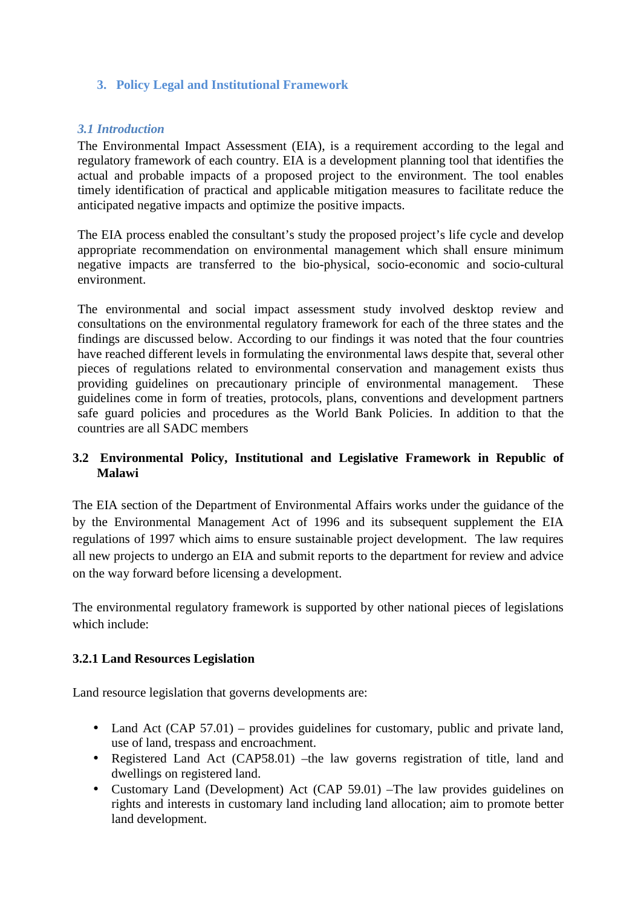# **3. Policy Legal and Institutional Framework**

## *3.1 Introduction*

The Environmental Impact Assessment (EIA), is a requirement according to the legal and regulatory framework of each country. EIA is a development planning tool that identifies the actual and probable impacts of a proposed project to the environment. The tool enables timely identification of practical and applicable mitigation measures to facilitate reduce the anticipated negative impacts and optimize the positive impacts.

The EIA process enabled the consultant's study the proposed project's life cycle and develop appropriate recommendation on environmental management which shall ensure minimum negative impacts are transferred to the bio-physical, socio-economic and socio-cultural environment.

The environmental and social impact assessment study involved desktop review and consultations on the environmental regulatory framework for each of the three states and the findings are discussed below. According to our findings it was noted that the four countries have reached different levels in formulating the environmental laws despite that, several other pieces of regulations related to environmental conservation and management exists thus providing guidelines on precautionary principle of environmental management. These guidelines come in form of treaties, protocols, plans, conventions and development partners safe guard policies and procedures as the World Bank Policies. In addition to that the countries are all SADC members

# **3.2 Environmental Policy, Institutional and Legislative Framework in Republic of Malawi**

The EIA section of the Department of Environmental Affairs works under the guidance of the by the Environmental Management Act of 1996 and its subsequent supplement the EIA regulations of 1997 which aims to ensure sustainable project development. The law requires all new projects to undergo an EIA and submit reports to the department for review and advice on the way forward before licensing a development.

The environmental regulatory framework is supported by other national pieces of legislations which include:

#### **3.2.1 Land Resources Legislation**

Land resource legislation that governs developments are:

- Land Act (CAP 57.01) provides guidelines for customary, public and private land, use of land, trespass and encroachment.
- Registered Land Act (CAP58.01) –the law governs registration of title, land and dwellings on registered land.
- Customary Land (Development) Act (CAP 59.01) –The law provides guidelines on rights and interests in customary land including land allocation; aim to promote better land development.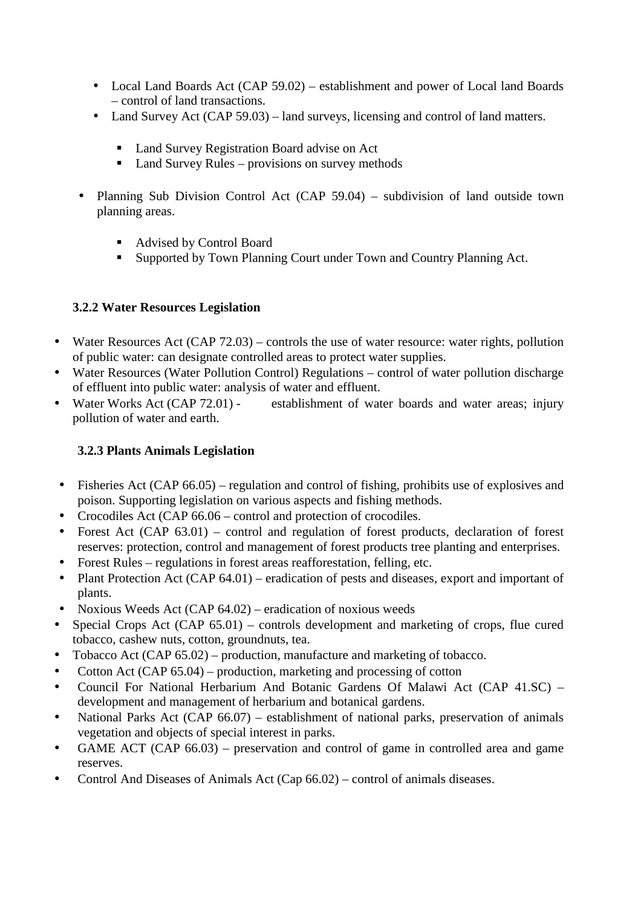- Local Land Boards Act (CAP 59.02) establishment and power of Local land Boards – control of land transactions.
- Land Survey Act (CAP 59.03) land surveys, licensing and control of land matters.
	- Land Survey Registration Board advise on Act
	- Land Survey Rules provisions on survey methods
- Planning Sub Division Control Act (CAP 59.04) subdivision of land outside town planning areas.
	- Advised by Control Board
	- **Supported by Town Planning Court under Town and Country Planning Act.**

# **3.2.2 Water Resources Legislation**

- Water Resources Act (CAP  $72.03$ ) controls the use of water resource: water rights, pollution of public water: can designate controlled areas to protect water supplies.
- Water Resources (Water Pollution Control) Regulations control of water pollution discharge of effluent into public water: analysis of water and effluent.
- Water Works Act (CAP 72.01) establishment of water boards and water areas; injury pollution of water and earth.

# **3.2.3 Plants Animals Legislation**

- Fisheries Act (CAP 66.05) regulation and control of fishing, prohibits use of explosives and poison. Supporting legislation on various aspects and fishing methods.
- Crocodiles Act (CAP 66.06 control and protection of crocodiles.
- Forest Act (CAP 63.01) control and regulation of forest products, declaration of forest reserves: protection, control and management of forest products tree planting and enterprises.
- Forest Rules regulations in forest areas reafforestation, felling, etc.
- Plant Protection Act (CAP 64.01) eradication of pests and diseases, export and important of plants.
- Noxious Weeds Act (CAP 64.02) eradication of noxious weeds
- Special Crops Act (CAP 65.01) controls development and marketing of crops, flue cured tobacco, cashew nuts, cotton, groundnuts, tea.
- Tobacco Act (CAP 65.02) production, manufacture and marketing of tobacco.
- Cotton Act (CAP 65.04) production, marketing and processing of cotton
- Council For National Herbarium And Botanic Gardens Of Malawi Act (CAP 41.SC) development and management of herbarium and botanical gardens.
- National Parks Act (CAP 66.07) establishment of national parks, preservation of animals vegetation and objects of special interest in parks.
- GAME ACT (CAP 66.03) preservation and control of game in controlled area and game reserves.
- Control And Diseases of Animals Act (Cap 66.02) control of animals diseases.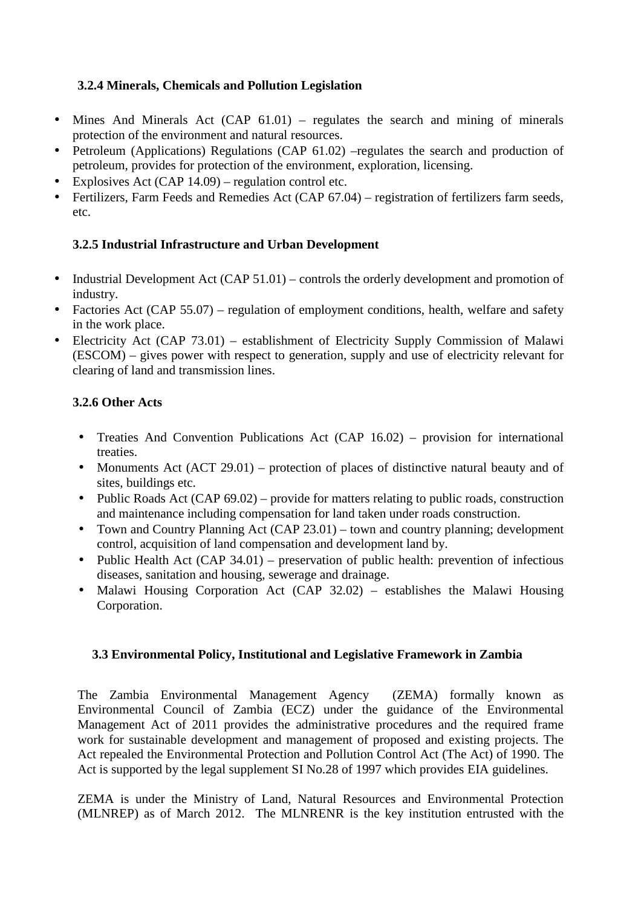# **3.2.4 Minerals, Chemicals and Pollution Legislation**

- Mines And Minerals Act (CAP 61.01) regulates the search and mining of minerals protection of the environment and natural resources.
- Petroleum (Applications) Regulations (CAP 61.02) –regulates the search and production of petroleum, provides for protection of the environment, exploration, licensing.
- Explosives Act (CAP 14.09) regulation control etc.
- Fertilizers, Farm Feeds and Remedies Act (CAP 67.04) registration of fertilizers farm seeds, etc.

# **3.2.5 Industrial Infrastructure and Urban Development**

- Industrial Development Act (CAP 51.01) controls the orderly development and promotion of industry.
- Factories Act (CAP 55.07) regulation of employment conditions, health, welfare and safety in the work place.
- Electricity Act (CAP 73.01) establishment of Electricity Supply Commission of Malawi (ESCOM) – gives power with respect to generation, supply and use of electricity relevant for clearing of land and transmission lines.

# **3.2.6 Other Acts**

- Treaties And Convention Publications Act (CAP 16.02) provision for international treaties.
- Monuments Act (ACT 29.01) protection of places of distinctive natural beauty and of sites, buildings etc.
- Public Roads Act (CAP 69.02) provide for matters relating to public roads, construction and maintenance including compensation for land taken under roads construction.
- Town and Country Planning Act (CAP 23.01) town and country planning; development control, acquisition of land compensation and development land by.
- Public Health Act (CAP 34.01) preservation of public health: prevention of infectious diseases, sanitation and housing, sewerage and drainage.
- Malawi Housing Corporation Act (CAP 32.02) establishes the Malawi Housing Corporation.

#### **3.3 Environmental Policy, Institutional and Legislative Framework in Zambia**

The Zambia Environmental Management Agency (ZEMA) formally known as Environmental Council of Zambia (ECZ) under the guidance of the Environmental Management Act of 2011 provides the administrative procedures and the required frame work for sustainable development and management of proposed and existing projects. The Act repealed the Environmental Protection and Pollution Control Act (The Act) of 1990. The Act is supported by the legal supplement SI No.28 of 1997 which provides EIA guidelines.

ZEMA is under the Ministry of Land, Natural Resources and Environmental Protection (MLNREP) as of March 2012. The MLNRENR is the key institution entrusted with the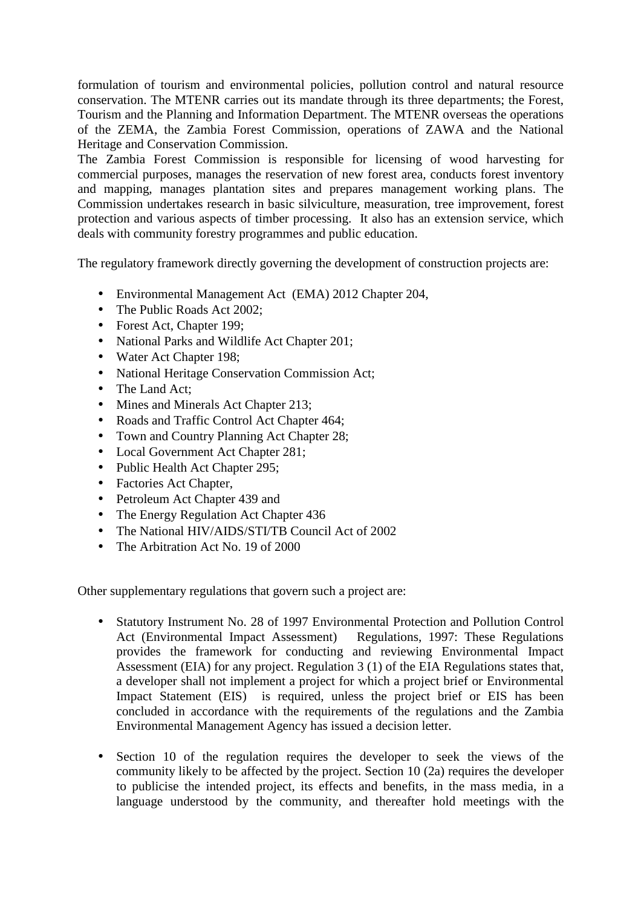formulation of tourism and environmental policies, pollution control and natural resource conservation. The MTENR carries out its mandate through its three departments; the Forest, Tourism and the Planning and Information Department. The MTENR overseas the operations of the ZEMA, the Zambia Forest Commission, operations of ZAWA and the National Heritage and Conservation Commission.

The Zambia Forest Commission is responsible for licensing of wood harvesting for commercial purposes, manages the reservation of new forest area, conducts forest inventory and mapping, manages plantation sites and prepares management working plans. The Commission undertakes research in basic silviculture, measuration, tree improvement, forest protection and various aspects of timber processing. It also has an extension service, which deals with community forestry programmes and public education.

The regulatory framework directly governing the development of construction projects are:

- Environmental Management Act (EMA) 2012 Chapter 204,
- The Public Roads Act 2002;
- Forest Act, Chapter 199:
- National Parks and Wildlife Act Chapter 201;
- Water Act Chapter 198;
- National Heritage Conservation Commission Act;
- The Land Act:
- Mines and Minerals Act Chapter 213;
- Roads and Traffic Control Act Chapter 464;
- Town and Country Planning Act Chapter 28;
- Local Government Act Chapter 281;
- Public Health Act Chapter 295:
- Factories Act Chapter,
- Petroleum Act Chapter 439 and
- The Energy Regulation Act Chapter 436
- The National HIV/AIDS/STI/TB Council Act of 2002
- The Arbitration Act No. 19 of 2000

Other supplementary regulations that govern such a project are:

- Statutory Instrument No. 28 of 1997 Environmental Protection and Pollution Control<br>Act (Environmental Impact Assessment) Regulations, 1997: These Regulations Act (Environmental Impact Assessment) provides the framework for conducting and reviewing Environmental Impact Assessment (EIA) for any project. Regulation 3 (1) of the EIA Regulations states that, a developer shall not implement a project for which a project brief or Environmental Impact Statement (EIS) is required, unless the project brief or EIS has been concluded in accordance with the requirements of the regulations and the Zambia Environmental Management Agency has issued a decision letter.
- Section 10 of the regulation requires the developer to seek the views of the community likely to be affected by the project. Section 10 (2a) requires the developer to publicise the intended project, its effects and benefits, in the mass media, in a language understood by the community, and thereafter hold meetings with the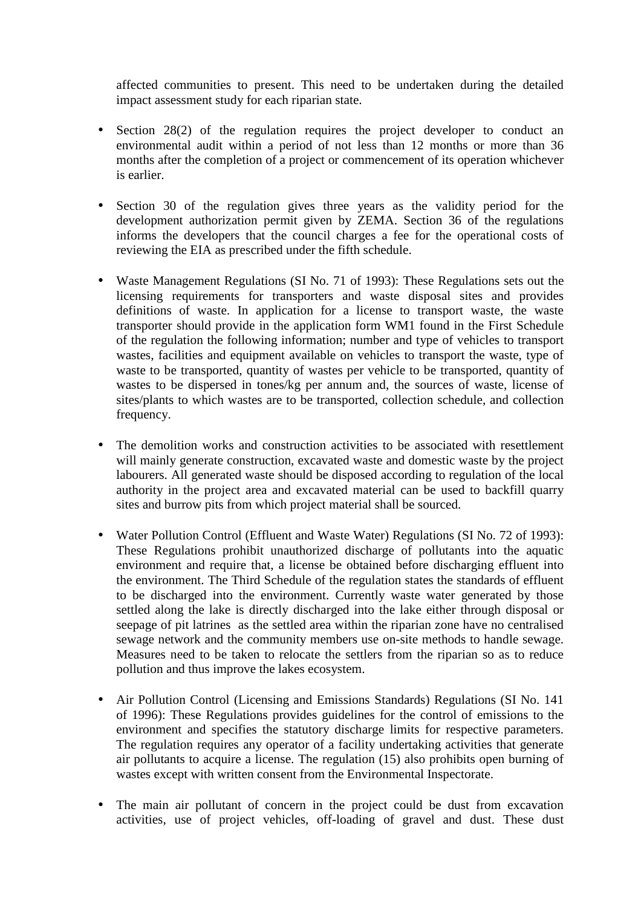affected communities to present. This need to be undertaken during the detailed impact assessment study for each riparian state.

- Section 28(2) of the regulation requires the project developer to conduct an environmental audit within a period of not less than 12 months or more than 36 months after the completion of a project or commencement of its operation whichever is earlier.
- Section 30 of the regulation gives three years as the validity period for the development authorization permit given by ZEMA. Section 36 of the regulations informs the developers that the council charges a fee for the operational costs of reviewing the EIA as prescribed under the fifth schedule.
- Waste Management Regulations (SI No. 71 of 1993): These Regulations sets out the licensing requirements for transporters and waste disposal sites and provides definitions of waste. In application for a license to transport waste, the waste transporter should provide in the application form WM1 found in the First Schedule of the regulation the following information; number and type of vehicles to transport wastes, facilities and equipment available on vehicles to transport the waste, type of waste to be transported, quantity of wastes per vehicle to be transported, quantity of wastes to be dispersed in tones/kg per annum and, the sources of waste, license of sites/plants to which wastes are to be transported, collection schedule, and collection frequency.
- The demolition works and construction activities to be associated with resettlement will mainly generate construction, excavated waste and domestic waste by the project labourers. All generated waste should be disposed according to regulation of the local authority in the project area and excavated material can be used to backfill quarry sites and burrow pits from which project material shall be sourced.
- Water Pollution Control (Effluent and Waste Water) Regulations (SI No. 72 of 1993): These Regulations prohibit unauthorized discharge of pollutants into the aquatic environment and require that, a license be obtained before discharging effluent into the environment. The Third Schedule of the regulation states the standards of effluent to be discharged into the environment. Currently waste water generated by those settled along the lake is directly discharged into the lake either through disposal or seepage of pit latrines as the settled area within the riparian zone have no centralised sewage network and the community members use on-site methods to handle sewage. Measures need to be taken to relocate the settlers from the riparian so as to reduce pollution and thus improve the lakes ecosystem.
- Air Pollution Control (Licensing and Emissions Standards) Regulations (SI No. 141 of 1996): These Regulations provides guidelines for the control of emissions to the environment and specifies the statutory discharge limits for respective parameters. The regulation requires any operator of a facility undertaking activities that generate air pollutants to acquire a license. The regulation (15) also prohibits open burning of wastes except with written consent from the Environmental Inspectorate.
- The main air pollutant of concern in the project could be dust from excavation activities, use of project vehicles, off-loading of gravel and dust. These dust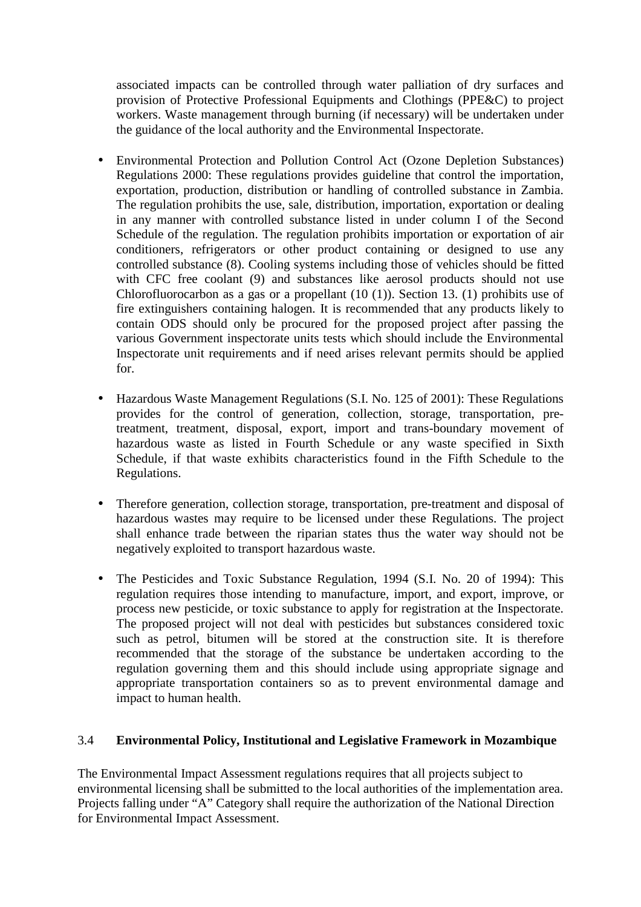associated impacts can be controlled through water palliation of dry surfaces and provision of Protective Professional Equipments and Clothings (PPE&C) to project workers. Waste management through burning (if necessary) will be undertaken under the guidance of the local authority and the Environmental Inspectorate.

- Environmental Protection and Pollution Control Act (Ozone Depletion Substances) Regulations 2000: These regulations provides guideline that control the importation, exportation, production, distribution or handling of controlled substance in Zambia. The regulation prohibits the use, sale, distribution, importation, exportation or dealing in any manner with controlled substance listed in under column I of the Second Schedule of the regulation. The regulation prohibits importation or exportation of air conditioners, refrigerators or other product containing or designed to use any controlled substance (8). Cooling systems including those of vehicles should be fitted with CFC free coolant (9) and substances like aerosol products should not use Chlorofluorocarbon as a gas or a propellant (10 (1)). Section 13. (1) prohibits use of fire extinguishers containing halogen. It is recommended that any products likely to contain ODS should only be procured for the proposed project after passing the various Government inspectorate units tests which should include the Environmental Inspectorate unit requirements and if need arises relevant permits should be applied for.
- Hazardous Waste Management Regulations (S.I. No. 125 of 2001): These Regulations provides for the control of generation, collection, storage, transportation, pretreatment, treatment, disposal, export, import and trans-boundary movement of hazardous waste as listed in Fourth Schedule or any waste specified in Sixth Schedule, if that waste exhibits characteristics found in the Fifth Schedule to the Regulations.
- Therefore generation, collection storage, transportation, pre-treatment and disposal of hazardous wastes may require to be licensed under these Regulations. The project shall enhance trade between the riparian states thus the water way should not be negatively exploited to transport hazardous waste.
- The Pesticides and Toxic Substance Regulation, 1994 (S.I. No. 20 of 1994): This regulation requires those intending to manufacture, import, and export, improve, or process new pesticide, or toxic substance to apply for registration at the Inspectorate. The proposed project will not deal with pesticides but substances considered toxic such as petrol, bitumen will be stored at the construction site. It is therefore recommended that the storage of the substance be undertaken according to the regulation governing them and this should include using appropriate signage and appropriate transportation containers so as to prevent environmental damage and impact to human health.

#### 3.4 **Environmental Policy, Institutional and Legislative Framework in Mozambique**

The Environmental Impact Assessment regulations requires that all projects subject to environmental licensing shall be submitted to the local authorities of the implementation area. Projects falling under "A" Category shall require the authorization of the National Direction for Environmental Impact Assessment.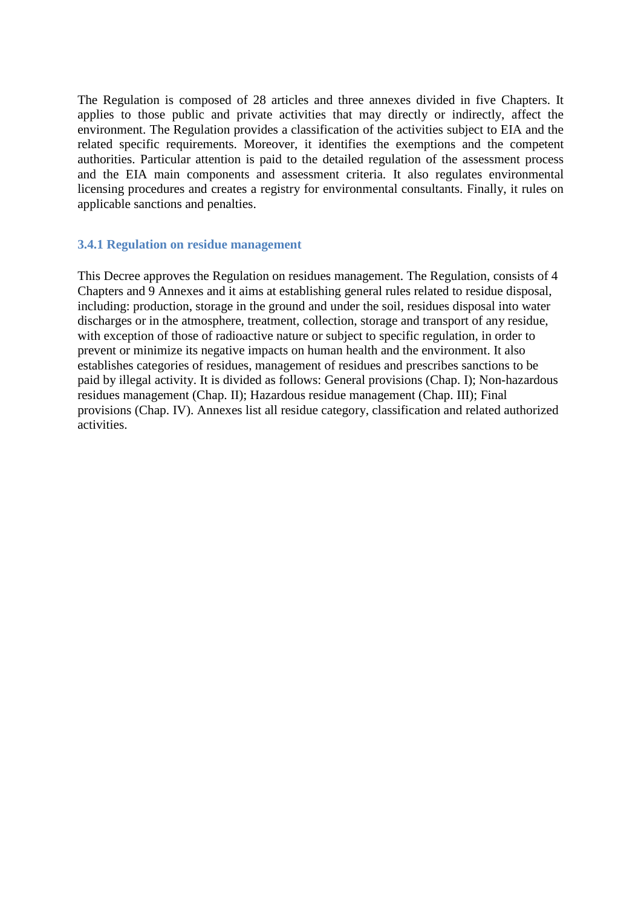The Regulation is composed of 28 articles and three annexes divided in five Chapters. It applies to those public and private activities that may directly or indirectly, affect the environment. The Regulation provides a classification of the activities subject to EIA and the related specific requirements. Moreover, it identifies the exemptions and the competent authorities. Particular attention is paid to the detailed regulation of the assessment process and the EIA main components and assessment criteria. It also regulates environmental licensing procedures and creates a registry for environmental consultants. Finally, it rules on applicable sanctions and penalties.

#### **3.4.1 Regulation on residue management**

This Decree approves the Regulation on residues management. The Regulation, consists of 4 Chapters and 9 Annexes and it aims at establishing general rules related to residue disposal, including: production, storage in the ground and under the soil, residues disposal into water discharges or in the atmosphere, treatment, collection, storage and transport of any residue, with exception of those of radioactive nature or subject to specific regulation, in order to prevent or minimize its negative impacts on human health and the environment. It also establishes categories of residues, management of residues and prescribes sanctions to be paid by illegal activity. It is divided as follows: General provisions (Chap. I); Non-hazardous residues management (Chap. II); Hazardous residue management (Chap. III); Final provisions (Chap. IV). Annexes list all residue category, classification and related authorized activities.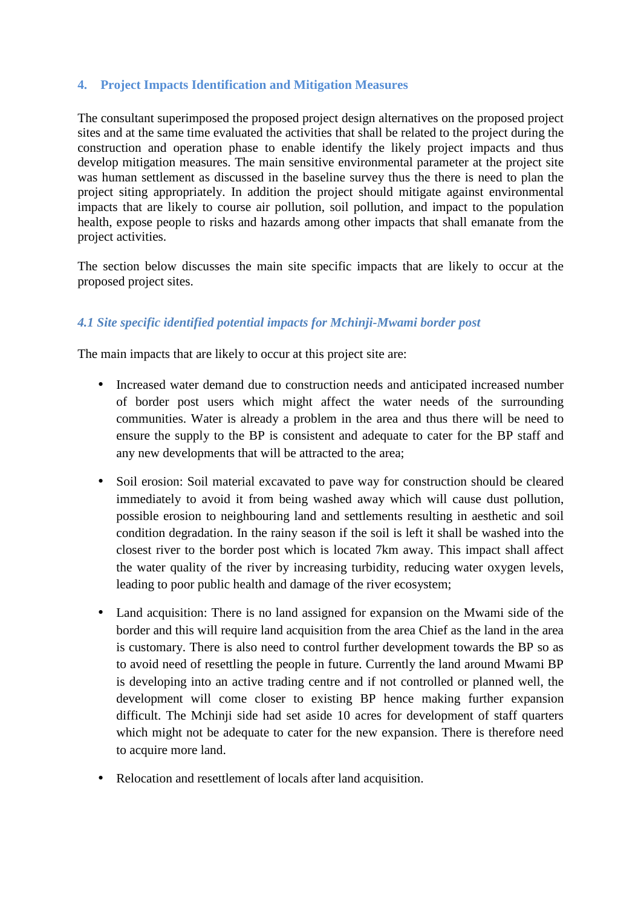## **4. Project Impacts Identification and Mitigation Measures**

The consultant superimposed the proposed project design alternatives on the proposed project sites and at the same time evaluated the activities that shall be related to the project during the construction and operation phase to enable identify the likely project impacts and thus develop mitigation measures. The main sensitive environmental parameter at the project site was human settlement as discussed in the baseline survey thus the there is need to plan the project siting appropriately. In addition the project should mitigate against environmental impacts that are likely to course air pollution, soil pollution, and impact to the population health, expose people to risks and hazards among other impacts that shall emanate from the project activities.

The section below discusses the main site specific impacts that are likely to occur at the proposed project sites.

# *4.1 Site specific identified potential impacts for Mchinji-Mwami border post*

The main impacts that are likely to occur at this project site are:

- Increased water demand due to construction needs and anticipated increased number of border post users which might affect the water needs of the surrounding communities. Water is already a problem in the area and thus there will be need to ensure the supply to the BP is consistent and adequate to cater for the BP staff and any new developments that will be attracted to the area;
- Soil erosion: Soil material excavated to pave way for construction should be cleared immediately to avoid it from being washed away which will cause dust pollution, possible erosion to neighbouring land and settlements resulting in aesthetic and soil condition degradation. In the rainy season if the soil is left it shall be washed into the closest river to the border post which is located 7km away. This impact shall affect the water quality of the river by increasing turbidity, reducing water oxygen levels, leading to poor public health and damage of the river ecosystem;
- Land acquisition: There is no land assigned for expansion on the Mwami side of the border and this will require land acquisition from the area Chief as the land in the area is customary. There is also need to control further development towards the BP so as to avoid need of resettling the people in future. Currently the land around Mwami BP is developing into an active trading centre and if not controlled or planned well, the development will come closer to existing BP hence making further expansion difficult. The Mchinii side had set aside 10 acres for development of staff quarters which might not be adequate to cater for the new expansion. There is therefore need to acquire more land.
- Relocation and resettlement of locals after land acquisition.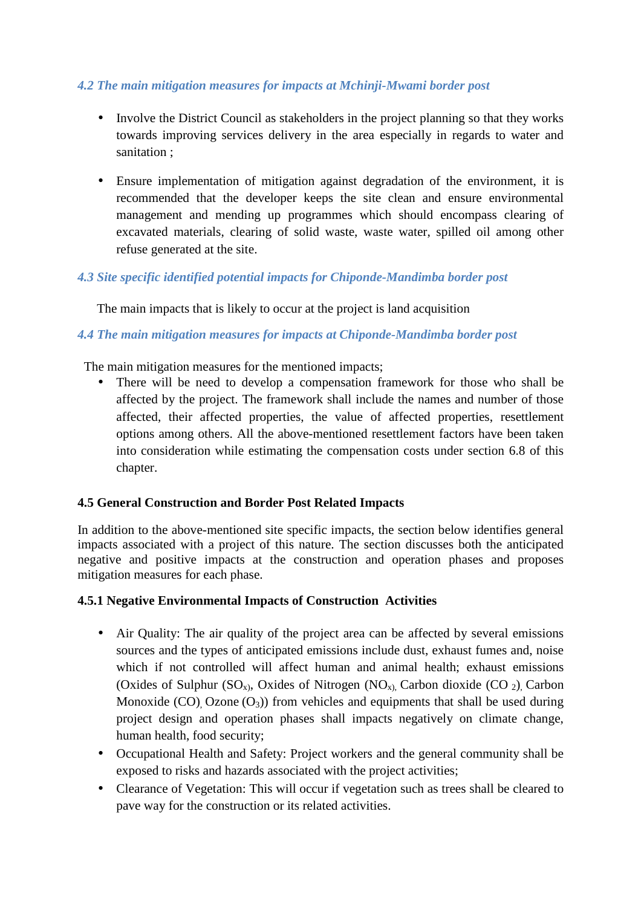## *4.2 The main mitigation measures for impacts at Mchinji-Mwami border post*

- Involve the District Council as stakeholders in the project planning so that they works towards improving services delivery in the area especially in regards to water and sanitation ;
- Ensure implementation of mitigation against degradation of the environment, it is recommended that the developer keeps the site clean and ensure environmental management and mending up programmes which should encompass clearing of excavated materials, clearing of solid waste, waste water, spilled oil among other refuse generated at the site.

# *4.3 Site specific identified potential impacts for Chiponde-Mandimba border post*

The main impacts that is likely to occur at the project is land acquisition

#### *4.4 The main mitigation measures for impacts at Chiponde-Mandimba border post*

The main mitigation measures for the mentioned impacts;

• There will be need to develop a compensation framework for those who shall be affected by the project. The framework shall include the names and number of those affected, their affected properties, the value of affected properties, resettlement options among others. All the above-mentioned resettlement factors have been taken into consideration while estimating the compensation costs under section 6.8 of this chapter.

#### **4.5 General Construction and Border Post Related Impacts**

In addition to the above-mentioned site specific impacts, the section below identifies general impacts associated with a project of this nature. The section discusses both the anticipated negative and positive impacts at the construction and operation phases and proposes mitigation measures for each phase.

#### **4.5.1 Negative Environmental Impacts of Construction Activities**

- Air Quality: The air quality of the project area can be affected by several emissions sources and the types of anticipated emissions include dust, exhaust fumes and, noise which if not controlled will affect human and animal health; exhaust emissions (Oxides of Sulphur  $(SO_x)$ , Oxides of Nitrogen  $(NO_x)$ , Carbon dioxide  $(CO_2)$ , Carbon Monoxide (CO), Ozone  $(O_3)$ ) from vehicles and equipments that shall be used during project design and operation phases shall impacts negatively on climate change, human health, food security;
- Occupational Health and Safety: Project workers and the general community shall be exposed to risks and hazards associated with the project activities;
- Clearance of Vegetation: This will occur if vegetation such as trees shall be cleared to pave way for the construction or its related activities.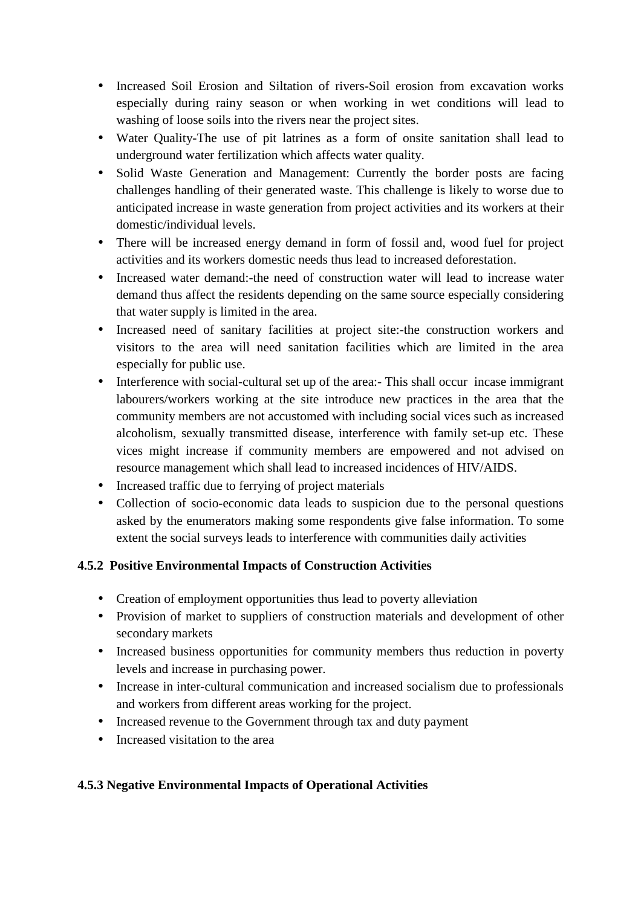- Increased Soil Erosion and Siltation of rivers-Soil erosion from excavation works especially during rainy season or when working in wet conditions will lead to washing of loose soils into the rivers near the project sites.
- Water Quality-The use of pit latrines as a form of onsite sanitation shall lead to underground water fertilization which affects water quality.
- Solid Waste Generation and Management: Currently the border posts are facing challenges handling of their generated waste. This challenge is likely to worse due to anticipated increase in waste generation from project activities and its workers at their domestic/individual levels.
- There will be increased energy demand in form of fossil and, wood fuel for project activities and its workers domestic needs thus lead to increased deforestation.
- Increased water demand:-the need of construction water will lead to increase water demand thus affect the residents depending on the same source especially considering that water supply is limited in the area.
- Increased need of sanitary facilities at project site:-the construction workers and visitors to the area will need sanitation facilities which are limited in the area especially for public use.
- Interference with social-cultural set up of the area:- This shall occur incase immigrant labourers/workers working at the site introduce new practices in the area that the community members are not accustomed with including social vices such as increased alcoholism, sexually transmitted disease, interference with family set-up etc. These vices might increase if community members are empowered and not advised on resource management which shall lead to increased incidences of HIV/AIDS.
- Increased traffic due to ferrying of project materials
- Collection of socio-economic data leads to suspicion due to the personal questions asked by the enumerators making some respondents give false information. To some extent the social surveys leads to interference with communities daily activities

# **4.5.2 Positive Environmental Impacts of Construction Activities**

- Creation of employment opportunities thus lead to poverty alleviation
- Provision of market to suppliers of construction materials and development of other secondary markets
- Increased business opportunities for community members thus reduction in poverty levels and increase in purchasing power.
- Increase in inter-cultural communication and increased socialism due to professionals and workers from different areas working for the project.
- Increased revenue to the Government through tax and duty payment
- Increased visitation to the area

# **4.5.3 Negative Environmental Impacts of Operational Activities**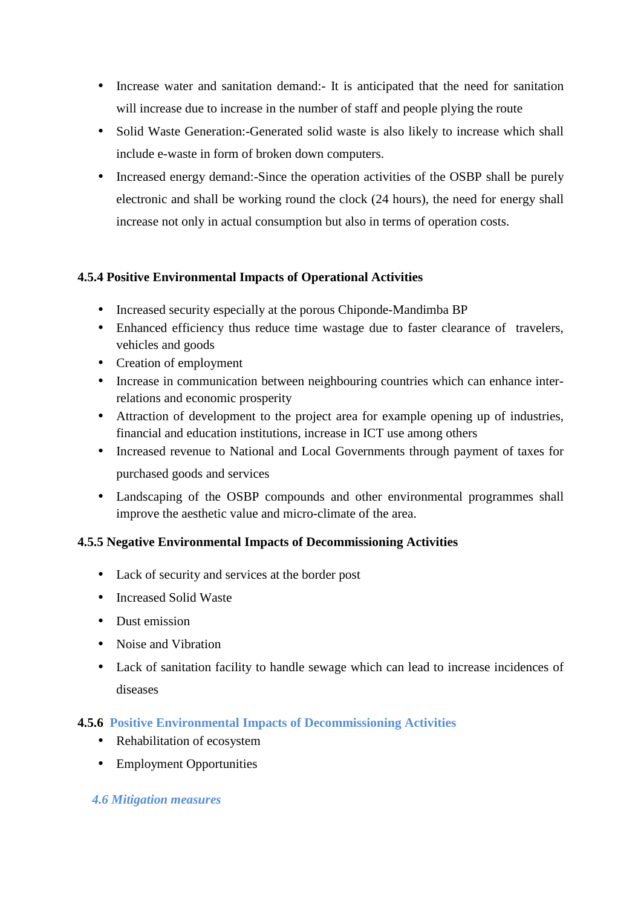- Increase water and sanitation demand:- It is anticipated that the need for sanitation will increase due to increase in the number of staff and people plying the route
- Solid Waste Generation:-Generated solid waste is also likely to increase which shall include e-waste in form of broken down computers.
- Increased energy demand:-Since the operation activities of the OSBP shall be purely electronic and shall be working round the clock (24 hours), the need for energy shall increase not only in actual consumption but also in terms of operation costs.

# **4.5.4 Positive Environmental Impacts of Operational Activities**

- Increased security especially at the porous Chiponde-Mandimba BP
- Enhanced efficiency thus reduce time wastage due to faster clearance of travelers, vehicles and goods
- Creation of employment
- Increase in communication between neighbouring countries which can enhance interrelations and economic prosperity
- Attraction of development to the project area for example opening up of industries, financial and education institutions, increase in ICT use among others
- Increased revenue to National and Local Governments through payment of taxes for purchased goods and services
- Landscaping of the OSBP compounds and other environmental programmes shall improve the aesthetic value and micro-climate of the area.

#### **4.5.5 Negative Environmental Impacts of Decommissioning Activities**

- Lack of security and services at the border post
- Increased Solid Waste
- Dust emission
- Noise and Vibration
- Lack of sanitation facility to handle sewage which can lead to increase incidences of diseases

#### **4.5.6 Positive Environmental Impacts of Decommissioning Activities**

- Rehabilitation of ecosystem
- Employment Opportunities

#### *4.6 Mitigation measures*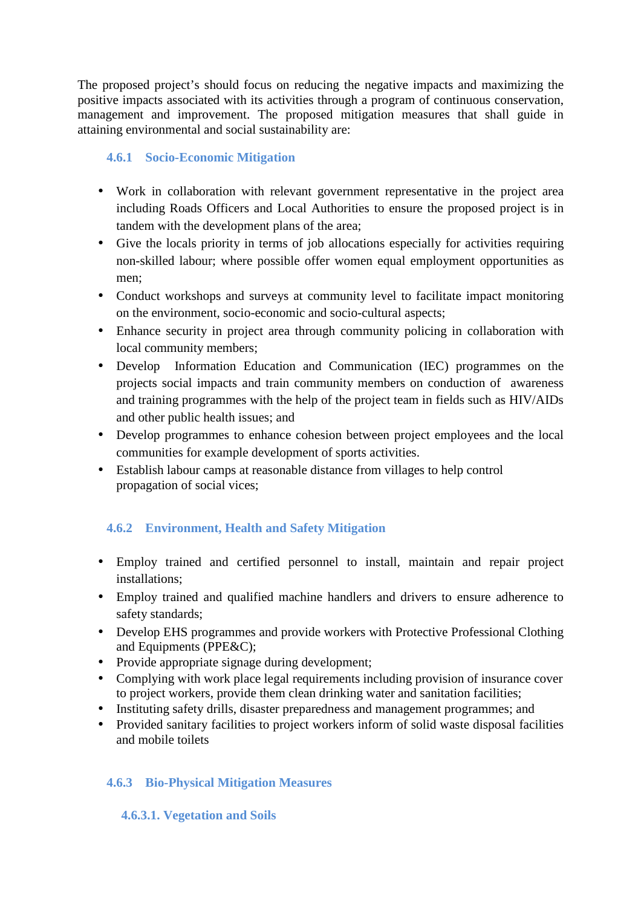The proposed project's should focus on reducing the negative impacts and maximizing the positive impacts associated with its activities through a program of continuous conservation, management and improvement. The proposed mitigation measures that shall guide in attaining environmental and social sustainability are:

# **4.6.1 Socio-Economic Mitigation**

- Work in collaboration with relevant government representative in the project area including Roads Officers and Local Authorities to ensure the proposed project is in tandem with the development plans of the area;
- Give the locals priority in terms of job allocations especially for activities requiring non-skilled labour; where possible offer women equal employment opportunities as men;
- Conduct workshops and surveys at community level to facilitate impact monitoring on the environment, socio-economic and socio-cultural aspects;
- Enhance security in project area through community policing in collaboration with local community members;
- Develop Information Education and Communication (IEC) programmes on the projects social impacts and train community members on conduction of awareness and training programmes with the help of the project team in fields such as HIV/AIDs and other public health issues; and
- Develop programmes to enhance cohesion between project employees and the local communities for example development of sports activities.
- Establish labour camps at reasonable distance from villages to help control propagation of social vices;

# **4.6.2 Environment, Health and Safety Mitigation**

- Employ trained and certified personnel to install, maintain and repair project installations;
- Employ trained and qualified machine handlers and drivers to ensure adherence to safety standards;
- Develop EHS programmes and provide workers with Protective Professional Clothing and Equipments (PPE&C);
- Provide appropriate signage during development;
- Complying with work place legal requirements including provision of insurance cover to project workers, provide them clean drinking water and sanitation facilities;
- Instituting safety drills, disaster preparedness and management programmes; and
- Provided sanitary facilities to project workers inform of solid waste disposal facilities and mobile toilets

# **4.6.3 Bio-Physical Mitigation Measures**

# **4.6.3.1. Vegetation and Soils**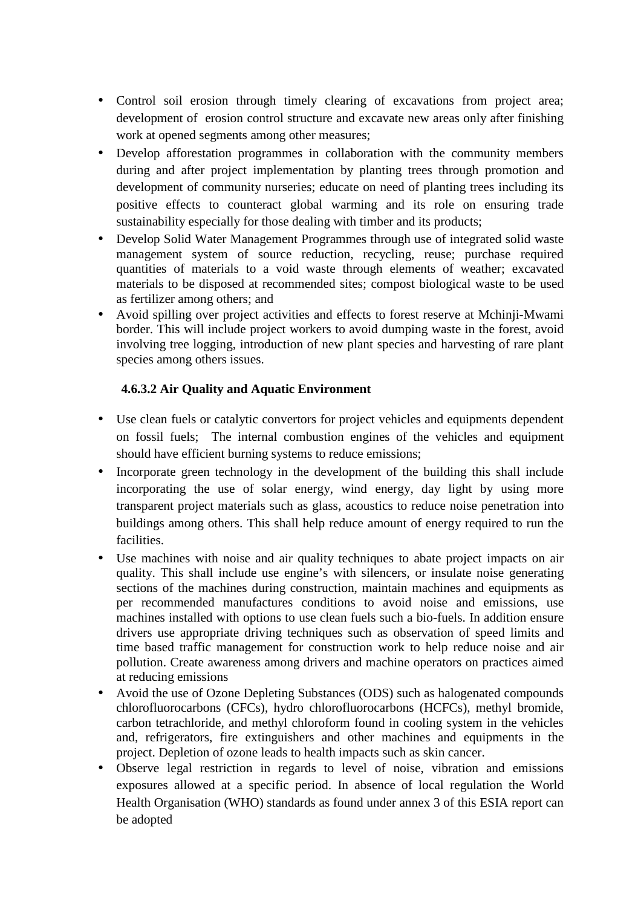- Control soil erosion through timely clearing of excavations from project area; development of erosion control structure and excavate new areas only after finishing work at opened segments among other measures;
- Develop afforestation programmes in collaboration with the community members during and after project implementation by planting trees through promotion and development of community nurseries; educate on need of planting trees including its positive effects to counteract global warming and its role on ensuring trade sustainability especially for those dealing with timber and its products;
- Develop Solid Water Management Programmes through use of integrated solid waste management system of source reduction, recycling, reuse; purchase required quantities of materials to a void waste through elements of weather; excavated materials to be disposed at recommended sites; compost biological waste to be used as fertilizer among others; and
- Avoid spilling over project activities and effects to forest reserve at Mchinji-Mwami border. This will include project workers to avoid dumping waste in the forest, avoid involving tree logging, introduction of new plant species and harvesting of rare plant species among others issues.

# **4.6.3.2 Air Quality and Aquatic Environment**

- Use clean fuels or catalytic convertors for project vehicles and equipments dependent on fossil fuels; The internal combustion engines of the vehicles and equipment should have efficient burning systems to reduce emissions;
- Incorporate green technology in the development of the building this shall include incorporating the use of solar energy, wind energy, day light by using more transparent project materials such as glass, acoustics to reduce noise penetration into buildings among others. This shall help reduce amount of energy required to run the facilities.
- Use machines with noise and air quality techniques to abate project impacts on air quality. This shall include use engine's with silencers, or insulate noise generating sections of the machines during construction, maintain machines and equipments as per recommended manufactures conditions to avoid noise and emissions, use machines installed with options to use clean fuels such a bio-fuels. In addition ensure drivers use appropriate driving techniques such as observation of speed limits and time based traffic management for construction work to help reduce noise and air pollution. Create awareness among drivers and machine operators on practices aimed at reducing emissions
- Avoid the use of Ozone Depleting Substances (ODS) such as halogenated compounds chlorofluorocarbons (CFCs), hydro chlorofluorocarbons (HCFCs), methyl bromide, carbon tetrachloride, and methyl chloroform found in cooling system in the vehicles and, refrigerators, fire extinguishers and other machines and equipments in the project. Depletion of ozone leads to health impacts such as skin cancer.
- Observe legal restriction in regards to level of noise, vibration and emissions exposures allowed at a specific period. In absence of local regulation the World Health Organisation (WHO) standards as found under annex 3 of this ESIA report can be adopted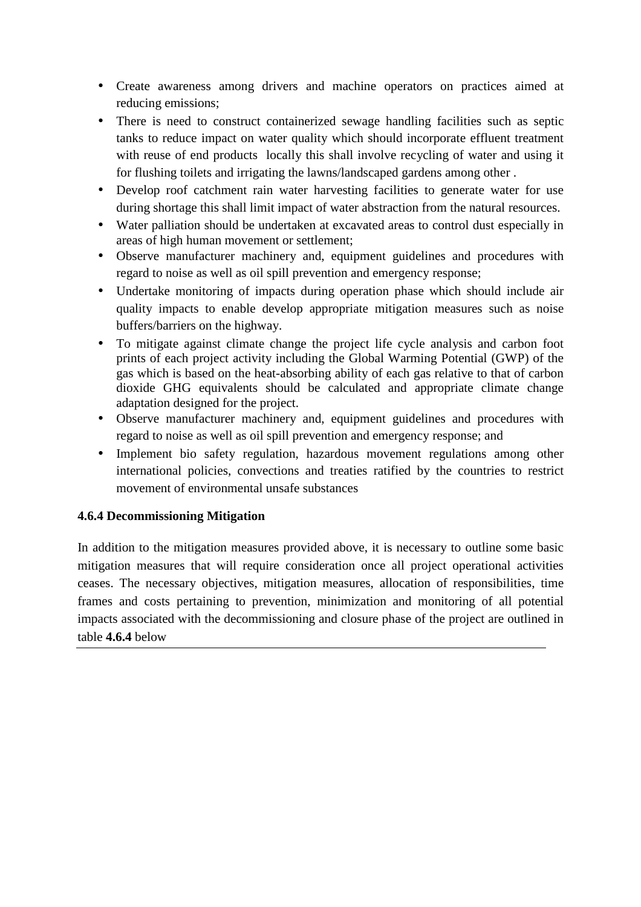- Create awareness among drivers and machine operators on practices aimed at reducing emissions;
- There is need to construct containerized sewage handling facilities such as septic tanks to reduce impact on water quality which should incorporate effluent treatment with reuse of end products locally this shall involve recycling of water and using it for flushing toilets and irrigating the lawns/landscaped gardens among other .
- Develop roof catchment rain water harvesting facilities to generate water for use during shortage this shall limit impact of water abstraction from the natural resources.
- Water palliation should be undertaken at excavated areas to control dust especially in areas of high human movement or settlement;
- Observe manufacturer machinery and, equipment guidelines and procedures with regard to noise as well as oil spill prevention and emergency response;
- Undertake monitoring of impacts during operation phase which should include air quality impacts to enable develop appropriate mitigation measures such as noise buffers/barriers on the highway.
- To mitigate against climate change the project life cycle analysis and carbon foot prints of each project activity including the Global Warming Potential (GWP) of the gas which is based on the heat-absorbing ability of each gas relative to that of carbon dioxide GHG equivalents should be calculated and appropriate climate change adaptation designed for the project.
- Observe manufacturer machinery and, equipment guidelines and procedures with regard to noise as well as oil spill prevention and emergency response; and
- Implement bio safety regulation, hazardous movement regulations among other international policies, convections and treaties ratified by the countries to restrict movement of environmental unsafe substances

#### **4.6.4 Decommissioning Mitigation**

In addition to the mitigation measures provided above, it is necessary to outline some basic mitigation measures that will require consideration once all project operational activities ceases. The necessary objectives, mitigation measures, allocation of responsibilities, time frames and costs pertaining to prevention, minimization and monitoring of all potential impacts associated with the decommissioning and closure phase of the project are outlined in table **4.6.4** below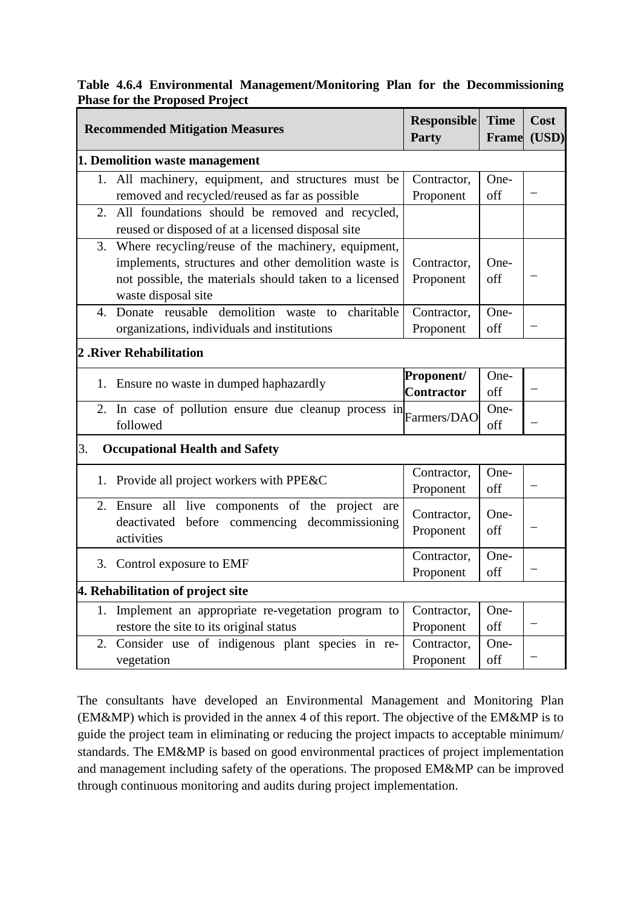|                                       | Table 4.6.4 Environmental Management/Monitoring Plan for the Decommissioning |  |  |
|---------------------------------------|------------------------------------------------------------------------------|--|--|
| <b>Phase for the Proposed Project</b> |                                                                              |  |  |

| <b>Recommended Mitigation Measures</b>                                                                                                                                                            | <b>Responsible</b><br>Party     | <b>Time</b><br><b>Frame</b> | Cost<br>(USD) |
|---------------------------------------------------------------------------------------------------------------------------------------------------------------------------------------------------|---------------------------------|-----------------------------|---------------|
| 1. Demolition waste management                                                                                                                                                                    |                                 |                             |               |
| 1. All machinery, equipment, and structures must be<br>removed and recycled/reused as far as possible                                                                                             | Contractor,<br>Proponent        | One-<br>off                 |               |
| All foundations should be removed and recycled,<br>2.<br>reused or disposed of at a licensed disposal site                                                                                        |                                 |                             |               |
| Where recycling/reuse of the machinery, equipment,<br>3.<br>implements, structures and other demolition waste is<br>not possible, the materials should taken to a licensed<br>waste disposal site | Contractor,<br>Proponent        | One-<br>off                 |               |
| 4. Donate reusable demolition waste<br>charitable<br>to to<br>organizations, individuals and institutions                                                                                         | Contractor,<br>Proponent        | One-<br>off                 |               |
| <b>2. River Rehabilitation</b>                                                                                                                                                                    |                                 |                             |               |
| 1. Ensure no waste in dumped haphazardly                                                                                                                                                          | Proponent/<br><b>Contractor</b> | One-<br>off                 |               |
| 2. In case of pollution ensure due cleanup process in<br>followed                                                                                                                                 | Farmers/DAO                     | One-<br>off                 |               |
| 3.<br><b>Occupational Health and Safety</b>                                                                                                                                                       |                                 |                             |               |
| 1. Provide all project workers with PPE&C                                                                                                                                                         | Contractor,<br>Proponent        | One-<br>off                 |               |
| 2. Ensure all live components of the project are<br>deactivated before commencing decommissioning<br>activities                                                                                   | Contractor,<br>Proponent        | One-<br>off                 |               |
| 3. Control exposure to EMF                                                                                                                                                                        | Contractor,<br>Proponent        | One-<br>off                 |               |
| 4. Rehabilitation of project site                                                                                                                                                                 |                                 |                             |               |
| Implement an appropriate re-vegetation program to<br>1.<br>restore the site to its original status                                                                                                | Contractor,<br>Proponent        | One-<br>off                 |               |
| Consider use of indigenous plant species in re-<br>2.<br>vegetation                                                                                                                               | Contractor,<br>Proponent        | One-<br>off                 |               |

The consultants have developed an Environmental Management and Monitoring Plan (EM&MP) which is provided in the annex 4 of this report. The objective of the EM&MP is to guide the project team in eliminating or reducing the project impacts to acceptable minimum/ standards. The EM&MP is based on good environmental practices of project implementation and management including safety of the operations. The proposed EM&MP can be improved through continuous monitoring and audits during project implementation.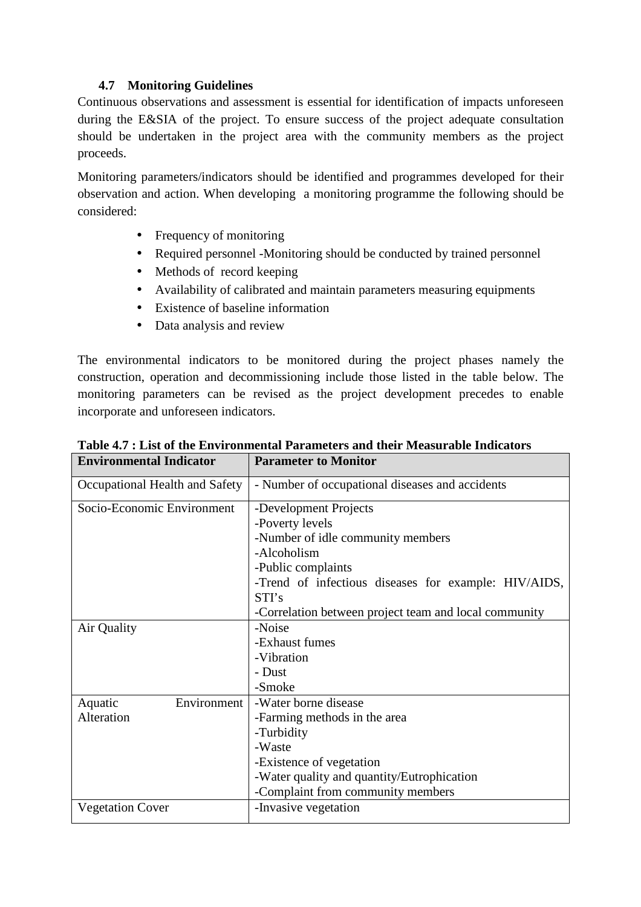# **4.7 Monitoring Guidelines**

Continuous observations and assessment is essential for identification of impacts unforeseen during the E&SIA of the project. To ensure success of the project adequate consultation should be undertaken in the project area with the community members as the project proceeds.

Monitoring parameters/indicators should be identified and programmes developed for their observation and action. When developing a monitoring programme the following should be considered:

- Frequency of monitoring
- Required personnel -Monitoring should be conducted by trained personnel
- Methods of record keeping
- Availability of calibrated and maintain parameters measuring equipments
- Existence of baseline information
- Data analysis and review

The environmental indicators to be monitored during the project phases namely the construction, operation and decommissioning include those listed in the table below. The monitoring parameters can be revised as the project development precedes to enable incorporate and unforeseen indicators.

| <b>Environmental Indicator</b> | <b>Parameter to Monitor</b>                           |
|--------------------------------|-------------------------------------------------------|
| Occupational Health and Safety | - Number of occupational diseases and accidents       |
| Socio-Economic Environment     | -Development Projects                                 |
|                                | -Poverty levels                                       |
|                                | -Number of idle community members                     |
|                                | -Alcoholism                                           |
|                                | -Public complaints                                    |
|                                | -Trend of infectious diseases for example: HIV/AIDS,  |
|                                | STI's                                                 |
|                                | -Correlation between project team and local community |
| Air Quality                    | -Noise                                                |
|                                | -Exhaust fumes                                        |
|                                | -Vibration                                            |
|                                | - Dust                                                |
|                                | -Smoke                                                |
| Environment<br>Aquatic         | -Water borne disease                                  |
| Alteration                     | -Farming methods in the area                          |
|                                | -Turbidity                                            |
|                                | -Waste                                                |
|                                | -Existence of vegetation                              |
|                                | -Water quality and quantity/Eutrophication            |
|                                | -Complaint from community members                     |
| <b>Vegetation Cover</b>        | -Invasive vegetation                                  |

#### **Table 4.7 : List of the Environmental Parameters and their Measurable Indicators**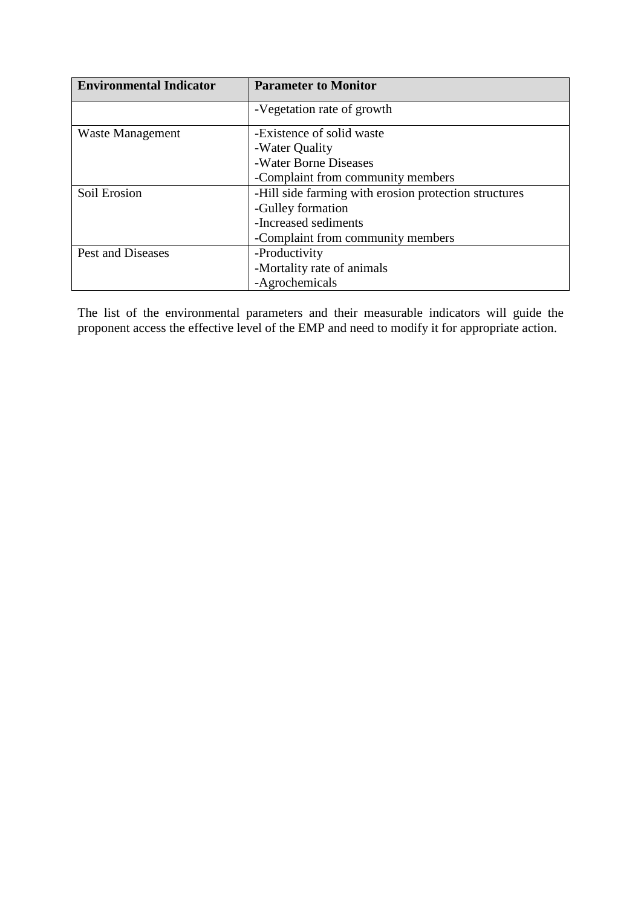| <b>Environmental Indicator</b> | <b>Parameter to Monitor</b>                           |
|--------------------------------|-------------------------------------------------------|
|                                | -Vegetation rate of growth                            |
| Waste Management               | -Existence of solid waste                             |
|                                | -Water Quality                                        |
|                                | -Water Borne Diseases                                 |
|                                | -Complaint from community members                     |
| Soil Erosion                   | -Hill side farming with erosion protection structures |
|                                | -Gulley formation                                     |
|                                | -Increased sediments                                  |
|                                | -Complaint from community members                     |
| Pest and Diseases              | -Productivity                                         |
|                                | -Mortality rate of animals                            |
|                                | -Agrochemicals                                        |

The list of the environmental parameters and their measurable indicators will guide the proponent access the effective level of the EMP and need to modify it for appropriate action.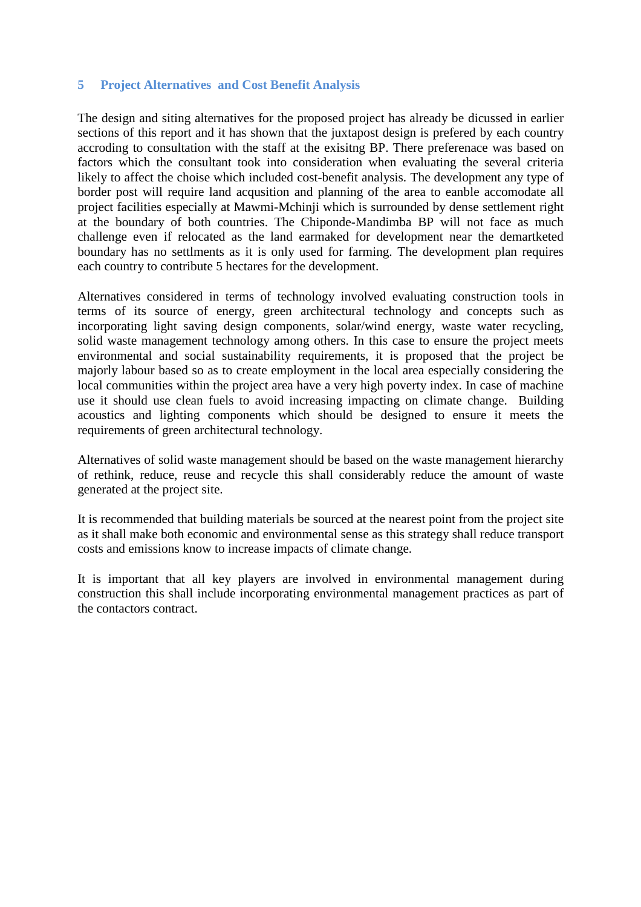#### **5 Project Alternatives and Cost Benefit Analysis**

The design and siting alternatives for the proposed project has already be dicussed in earlier sections of this report and it has shown that the juxtapost design is prefered by each country accroding to consultation with the staff at the exisitng BP. There preferenace was based on factors which the consultant took into consideration when evaluating the several criteria likely to affect the choise which included cost-benefit analysis. The development any type of border post will require land acqusition and planning of the area to eanble accomodate all project facilities especially at Mawmi-Mchinji which is surrounded by dense settlement right at the boundary of both countries. The Chiponde-Mandimba BP will not face as much challenge even if relocated as the land earmaked for development near the demartketed boundary has no settlments as it is only used for farming. The development plan requires each country to contribute 5 hectares for the development.

Alternatives considered in terms of technology involved evaluating construction tools in terms of its source of energy, green architectural technology and concepts such as incorporating light saving design components, solar/wind energy, waste water recycling, solid waste management technology among others. In this case to ensure the project meets environmental and social sustainability requirements, it is proposed that the project be majorly labour based so as to create employment in the local area especially considering the local communities within the project area have a very high poverty index. In case of machine use it should use clean fuels to avoid increasing impacting on climate change. Building acoustics and lighting components which should be designed to ensure it meets the requirements of green architectural technology.

Alternatives of solid waste management should be based on the waste management hierarchy of rethink, reduce, reuse and recycle this shall considerably reduce the amount of waste generated at the project site.

It is recommended that building materials be sourced at the nearest point from the project site as it shall make both economic and environmental sense as this strategy shall reduce transport costs and emissions know to increase impacts of climate change.

It is important that all key players are involved in environmental management during construction this shall include incorporating environmental management practices as part of the contactors contract.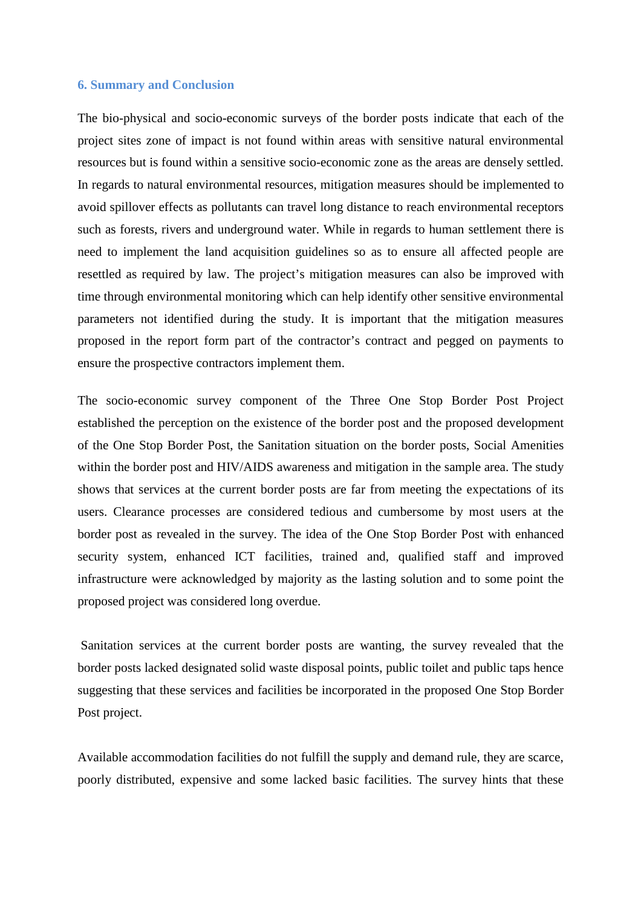#### **6. Summary and Conclusion**

The bio-physical and socio-economic surveys of the border posts indicate that each of the project sites zone of impact is not found within areas with sensitive natural environmental resources but is found within a sensitive socio-economic zone as the areas are densely settled. In regards to natural environmental resources, mitigation measures should be implemented to avoid spillover effects as pollutants can travel long distance to reach environmental receptors such as forests, rivers and underground water. While in regards to human settlement there is need to implement the land acquisition guidelines so as to ensure all affected people are resettled as required by law. The project's mitigation measures can also be improved with time through environmental monitoring which can help identify other sensitive environmental parameters not identified during the study. It is important that the mitigation measures proposed in the report form part of the contractor's contract and pegged on payments to ensure the prospective contractors implement them.

The socio-economic survey component of the Three One Stop Border Post Project established the perception on the existence of the border post and the proposed development of the One Stop Border Post, the Sanitation situation on the border posts, Social Amenities within the border post and HIV/AIDS awareness and mitigation in the sample area. The study shows that services at the current border posts are far from meeting the expectations of its users. Clearance processes are considered tedious and cumbersome by most users at the border post as revealed in the survey. The idea of the One Stop Border Post with enhanced security system, enhanced ICT facilities, trained and, qualified staff and improved infrastructure were acknowledged by majority as the lasting solution and to some point the proposed project was considered long overdue.

 Sanitation services at the current border posts are wanting, the survey revealed that the border posts lacked designated solid waste disposal points, public toilet and public taps hence suggesting that these services and facilities be incorporated in the proposed One Stop Border Post project.

Available accommodation facilities do not fulfill the supply and demand rule, they are scarce, poorly distributed, expensive and some lacked basic facilities. The survey hints that these